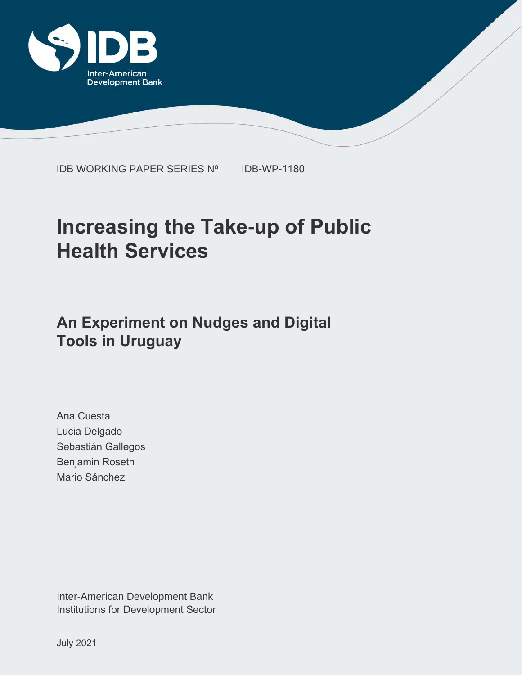

IDB WORKING PAPER SERIES Nº IDB-WP-1180

# **Increasing the Take-up of Public Health Services**

# **An Experiment on Nudges and Digital Tools in Uruguay**

Ana Cuesta Lucia Delgado Sebastián Gallegos Benjamin Roseth Mario Sánchez

Inter-American Development Bank Institutions for Development Sector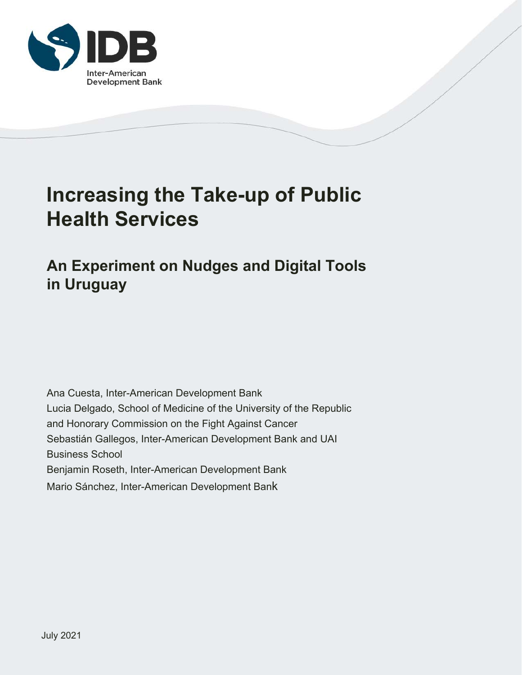

# **Increasing the Take-up of Public Health Services**

# **An Experiment on Nudges and Digital Tools in Uruguay**

Ana Cuesta, Inter-American Development Bank Lucia Delgado, School of Medicine of the University of the Republic and Honorary Commission on the Fight Against Cancer Sebastián Gallegos, Inter-American Development Bank and UAI Business School Benjamin Roseth, Inter-American Development Bank Mario Sánchez, Inter-American Development Bank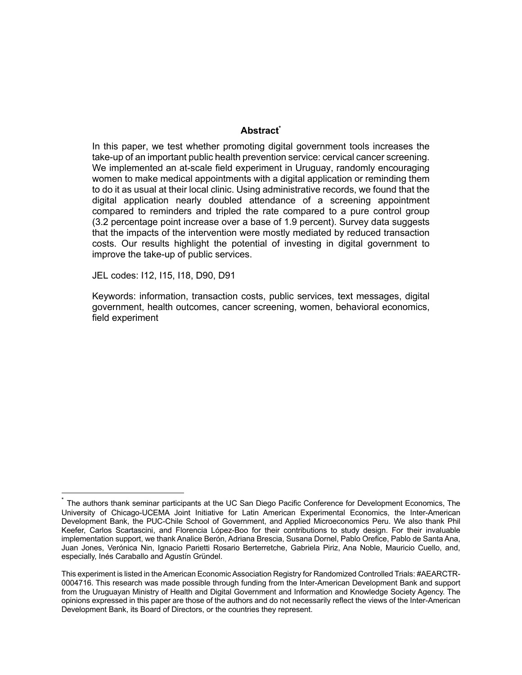# Abstract<sup>\*</sup>

In this paper, we test whether promoting digital government tools increases the take-up of an important public health prevention service: cervical cancer screening. We implemented an at-scale field experiment in Uruguay, randomly encouraging women to make medical appointments with a digital application or reminding them to do it as usual at their local clinic. Using administrative records, we found that the digital application nearly doubled attendance of a screening appointment compared to reminders and tripled the rate compared to a pure control group (3.2 percentage point increase over a base of 1.9 percent). Survey data suggests that the impacts of the intervention were mostly mediated by reduced transaction costs. Our results highlight the potential of investing in digital government to improve the take-up of public services.

JEL codes: I12, I15, I18, D90, D91

Keywords: information, transaction costs, public services, text messages, digital government, health outcomes, cancer screening, women, behavioral economics, field experiment

The authors thank seminar participants at the UC San Diego Pacific Conference for Development Economics, The University of Chicago-UCEMA Joint Initiative for Latin American Experimental Economics, the Inter-American Development Bank, the PUC-Chile School of Government, and Applied Microeconomics Peru. We also thank Phil Keefer, Carlos Scartascini, and Florencia López-Boo for their contributions to study design. For their invaluable implementation support, we thank Analice Berón, Adriana Brescia, Susana Dornel, Pablo Orefice, Pablo de Santa Ana, Juan Jones, Verónica Nin, Ignacio Parietti Rosario Berterretche, Gabriela Piriz, Ana Noble, Mauricio Cuello, and, especially, Inés Caraballo and Agustín Gründel.

This experiment is listed in the American Economic Association Registry for Randomized Controlled Trials: #AEARCTR-0004716. This research was made possible through funding from the Inter-American Development Bank and support from the Uruguayan Ministry of Health and Digital Government and Information and Knowledge Society Agency. The opinions expressed in this paper are those of the authors and do not necessarily reflect the views of the Inter-American Development Bank, its Board of Directors, or the countries they represent.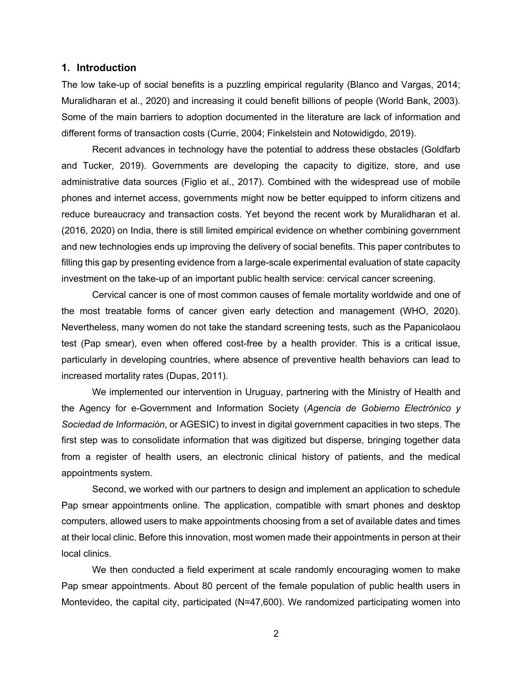#### **1. Introduction**

The low take-up of social benefits is a puzzling empirical regularity (Blanco and Vargas, 2014; Muralidharan et al., 2020) and increasing it could benefit billions of people (World Bank, 2003). Some of the main barriers to adoption documented in the literature are lack of information and different forms of transaction costs (Currie, 2004; Finkelstein and Notowidigdo, 2019).

Recent advances in technology have the potential to address these obstacles (Goldfarb and Tucker, 2019). Governments are developing the capacity to digitize, store, and use administrative data sources (Figlio et al., 2017). Combined with the widespread use of mobile phones and internet access, governments might now be better equipped to inform citizens and reduce bureaucracy and transaction costs. Yet beyond the recent work by Muralidharan et al. (2016, 2020) on India, there is still limited empirical evidence on whether combining government and new technologies ends up improving the delivery of social benefits. This paper contributes to filling this gap by presenting evidence from a large-scale experimental evaluation of state capacity investment on the take-up of an important public health service: cervical cancer screening.

Cervical cancer is one of most common causes of female mortality worldwide and one of the most treatable forms of cancer given early detection and management (WHO, 2020). Nevertheless, many women do not take the standard screening tests, such as the Papanicolaou test (Pap smear), even when offered cost-free by a health provider. This is a critical issue, particularly in developing countries, where absence of preventive health behaviors can lead to increased mortality rates (Dupas, 2011).

We implemented our intervention in Uruguay, partnering with the Ministry of Health and the Agency for e-Government and Information Society (*Agencia de Gobierno Electrónico y Sociedad de Información*, or AGESIC) to invest in digital government capacities in two steps. The first step was to consolidate information that was digitized but disperse, bringing together data from a register of health users, an electronic clinical history of patients, and the medical appointments system.

Second, we worked with our partners to design and implement an application to schedule Pap smear appointments online. The application, compatible with smart phones and desktop computers, allowed users to make appointments choosing from a set of available dates and times at their local clinic. Before this innovation, most women made their appointments in person at their local clinics.

We then conducted a field experiment at scale randomly encouraging women to make Pap smear appointments. About 80 percent of the female population of public health users in Montevideo, the capital city, participated (N=47,600). We randomized participating women into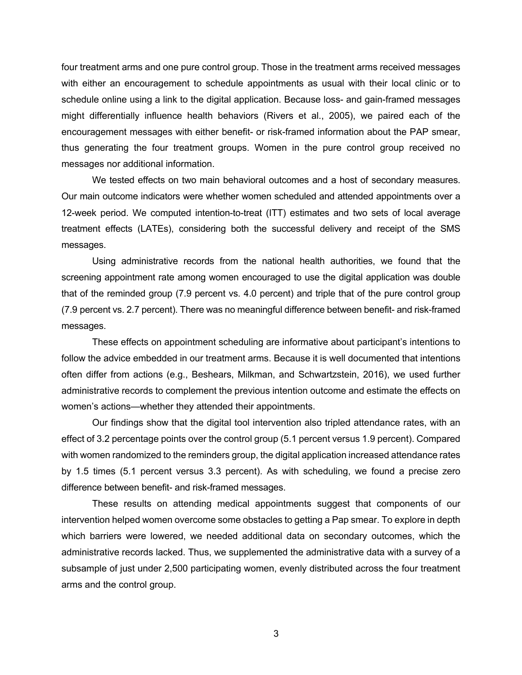four treatment arms and one pure control group. Those in the treatment arms received messages with either an encouragement to schedule appointments as usual with their local clinic or to schedule online using a link to the digital application. Because loss- and gain-framed messages might differentially influence health behaviors (Rivers et al., 2005), we paired each of the encouragement messages with either benefit- or risk-framed information about the PAP smear, thus generating the four treatment groups. Women in the pure control group received no messages nor additional information.

We tested effects on two main behavioral outcomes and a host of secondary measures. Our main outcome indicators were whether women scheduled and attended appointments over a 12-week period. We computed intention-to-treat (ITT) estimates and two sets of local average treatment effects (LATEs), considering both the successful delivery and receipt of the SMS messages.

Using administrative records from the national health authorities, we found that the screening appointment rate among women encouraged to use the digital application was double that of the reminded group (7.9 percent vs. 4.0 percent) and triple that of the pure control group (7.9 percent vs. 2.7 percent). There was no meaningful difference between benefit- and risk-framed messages.

These effects on appointment scheduling are informative about participant's intentions to follow the advice embedded in our treatment arms. Because it is well documented that intentions often differ from actions (e.g., Beshears, Milkman, and Schwartzstein, 2016), we used further administrative records to complement the previous intention outcome and estimate the effects on women's actions—whether they attended their appointments.

Our findings show that the digital tool intervention also tripled attendance rates, with an effect of 3.2 percentage points over the control group (5.1 percent versus 1.9 percent). Compared with women randomized to the reminders group, the digital application increased attendance rates by 1.5 times (5.1 percent versus 3.3 percent). As with scheduling, we found a precise zero difference between benefit- and risk-framed messages.

These results on attending medical appointments suggest that components of our intervention helped women overcome some obstacles to getting a Pap smear. To explore in depth which barriers were lowered, we needed additional data on secondary outcomes, which the administrative records lacked. Thus, we supplemented the administrative data with a survey of a subsample of just under 2,500 participating women, evenly distributed across the four treatment arms and the control group.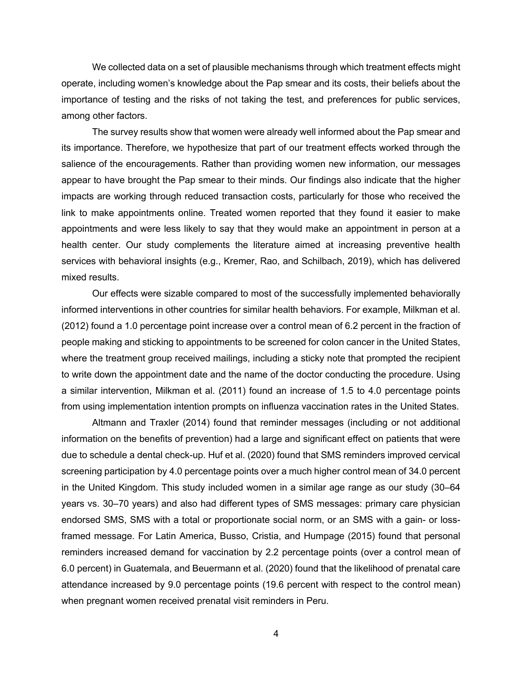We collected data on a set of plausible mechanisms through which treatment effects might operate, including women's knowledge about the Pap smear and its costs, their beliefs about the importance of testing and the risks of not taking the test, and preferences for public services, among other factors.

The survey results show that women were already well informed about the Pap smear and its importance. Therefore, we hypothesize that part of our treatment effects worked through the salience of the encouragements. Rather than providing women new information, our messages appear to have brought the Pap smear to their minds. Our findings also indicate that the higher impacts are working through reduced transaction costs, particularly for those who received the link to make appointments online. Treated women reported that they found it easier to make appointments and were less likely to say that they would make an appointment in person at a health center. Our study complements the literature aimed at increasing preventive health services with behavioral insights (e.g., Kremer, Rao, and Schilbach, 2019), which has delivered mixed results.

Our effects were sizable compared to most of the successfully implemented behaviorally informed interventions in other countries for similar health behaviors. For example, Milkman et al. (2012) found a 1.0 percentage point increase over a control mean of 6.2 percent in the fraction of people making and sticking to appointments to be screened for colon cancer in the United States, where the treatment group received mailings, including a sticky note that prompted the recipient to write down the appointment date and the name of the doctor conducting the procedure. Using a similar intervention, Milkman et al. (2011) found an increase of 1.5 to 4.0 percentage points from using implementation intention prompts on influenza vaccination rates in the United States.

Altmann and Traxler (2014) found that reminder messages (including or not additional information on the benefits of prevention) had a large and significant effect on patients that were due to schedule a dental check-up. Huf et al. (2020) found that SMS reminders improved cervical screening participation by 4.0 percentage points over a much higher control mean of 34.0 percent in the United Kingdom. This study included women in a similar age range as our study (30–64 years vs. 30–70 years) and also had different types of SMS messages: primary care physician endorsed SMS, SMS with a total or proportionate social norm, or an SMS with a gain- or lossframed message. For Latin America, Busso, Cristia, and Humpage (2015) found that personal reminders increased demand for vaccination by 2.2 percentage points (over a control mean of 6.0 percent) in Guatemala, and Beuermann et al. (2020) found that the likelihood of prenatal care attendance increased by 9.0 percentage points (19.6 percent with respect to the control mean) when pregnant women received prenatal visit reminders in Peru.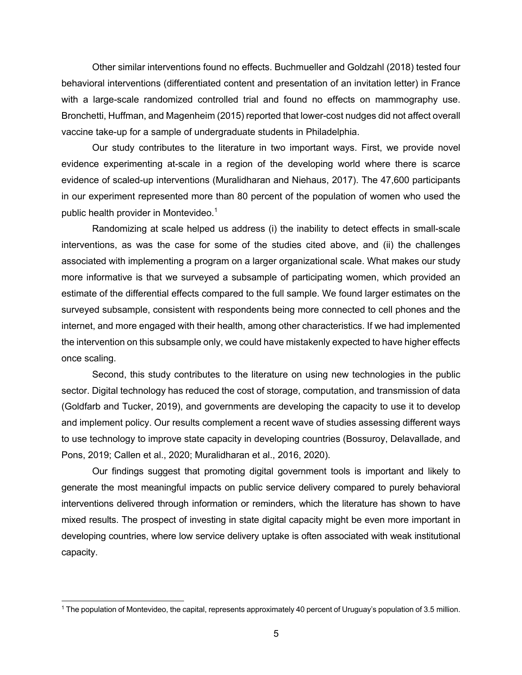Other similar interventions found no effects. Buchmueller and Goldzahl (2018) tested four behavioral interventions (differentiated content and presentation of an invitation letter) in France with a large-scale randomized controlled trial and found no effects on mammography use. Bronchetti, Huffman, and Magenheim (2015) reported that lower-cost nudges did not affect overall vaccine take-up for a sample of undergraduate students in Philadelphia.

Our study contributes to the literature in two important ways. First, we provide novel evidence experimenting at-scale in a region of the developing world where there is scarce evidence of scaled-up interventions (Muralidharan and Niehaus, 2017). The 47,600 participants in our experiment represented more than 80 percent of the population of women who used the public health provider in Montevideo.<sup>1</sup>

Randomizing at scale helped us address (i) the inability to detect effects in small-scale interventions, as was the case for some of the studies cited above, and (ii) the challenges associated with implementing a program on a larger organizational scale. What makes our study more informative is that we surveyed a subsample of participating women, which provided an estimate of the differential effects compared to the full sample. We found larger estimates on the surveyed subsample, consistent with respondents being more connected to cell phones and the internet, and more engaged with their health, among other characteristics. If we had implemented the intervention on this subsample only, we could have mistakenly expected to have higher effects once scaling.

Second, this study contributes to the literature on using new technologies in the public sector. Digital technology has reduced the cost of storage, computation, and transmission of data (Goldfarb and Tucker, 2019), and governments are developing the capacity to use it to develop and implement policy. Our results complement a recent wave of studies assessing different ways to use technology to improve state capacity in developing countries (Bossuroy, Delavallade, and Pons, 2019; Callen et al., 2020; Muralidharan et al., 2016, 2020).

Our findings suggest that promoting digital government tools is important and likely to generate the most meaningful impacts on public service delivery compared to purely behavioral interventions delivered through information or reminders, which the literature has shown to have mixed results. The prospect of investing in state digital capacity might be even more important in developing countries, where low service delivery uptake is often associated with weak institutional capacity.

<sup>1</sup> The population of Montevideo, the capital, represents approximately 40 percent of Uruguay's population of 3.5 million.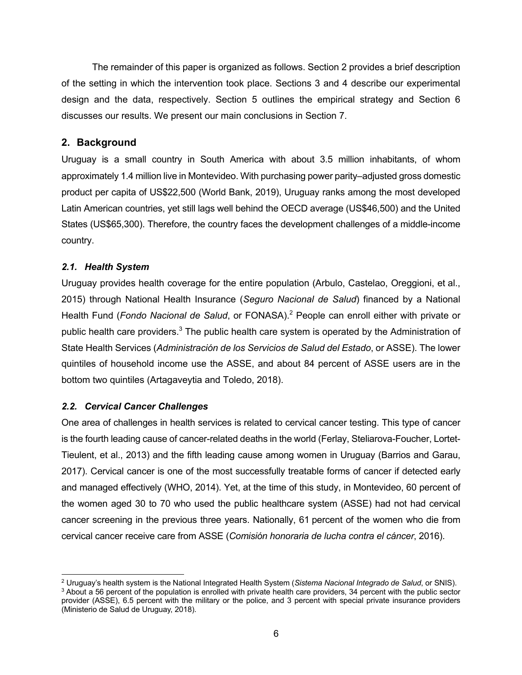The remainder of this paper is organized as follows. Section 2 provides a brief description of the setting in which the intervention took place. Sections 3 and 4 describe our experimental design and the data, respectively. Section 5 outlines the empirical strategy and Section 6 discusses our results. We present our main conclusions in Section 7.

# **2. Background**

Uruguay is a small country in South America with about 3.5 million inhabitants, of whom approximately 1.4 million live in Montevideo. With purchasing power parity–adjusted gross domestic product per capita of US\$22,500 (World Bank, 2019), Uruguay ranks among the most developed Latin American countries, yet still lags well behind the OECD average (US\$46,500) and the United States (US\$65,300). Therefore, the country faces the development challenges of a middle-income country.

# *2.1. Health System*

Uruguay provides health coverage for the entire population (Arbulo, Castelao, Oreggioni, et al., 2015) through National Health Insurance (*Seguro Nacional de Salud*) financed by a National Health Fund (*Fondo Nacional de Salud*, or FONASA).<sup>2</sup> People can enroll either with private or public health care providers.<sup>3</sup> The public health care system is operated by the Administration of State Health Services (*Administración de los Servicios de Salud del Estado*, or ASSE). The lower quintiles of household income use the ASSE, and about 84 percent of ASSE users are in the bottom two quintiles (Artagaveytia and Toledo, 2018).

# *2.2. Cervical Cancer Challenges*

One area of challenges in health services is related to cervical cancer testing. This type of cancer is the fourth leading cause of cancer-related deaths in the world (Ferlay, Steliarova-Foucher, Lortet-Tieulent, et al., 2013) and the fifth leading cause among women in Uruguay (Barrios and Garau, 2017). Cervical cancer is one of the most successfully treatable forms of cancer if detected early and managed effectively (WHO, 2014). Yet, at the time of this study, in Montevideo, 60 percent of the women aged 30 to 70 who used the public healthcare system (ASSE) had not had cervical cancer screening in the previous three years. Nationally, 61 percent of the women who die from cervical cancer receive care from ASSE (*Comisión honoraria de lucha contra el cáncer*, 2016).

 $^2$  Uruguay's health system is the National Integrated Health System (Sistema Nacional Integrado de Salud, or SNIS).<br> $^3$  About a 56 percent of the population is enrolled with private health care providers, 34 percent wi provider (ASSE), 6.5 percent with the military or the police, and 3 percent with special private insurance providers (Ministerio de Salud de Uruguay, 2018).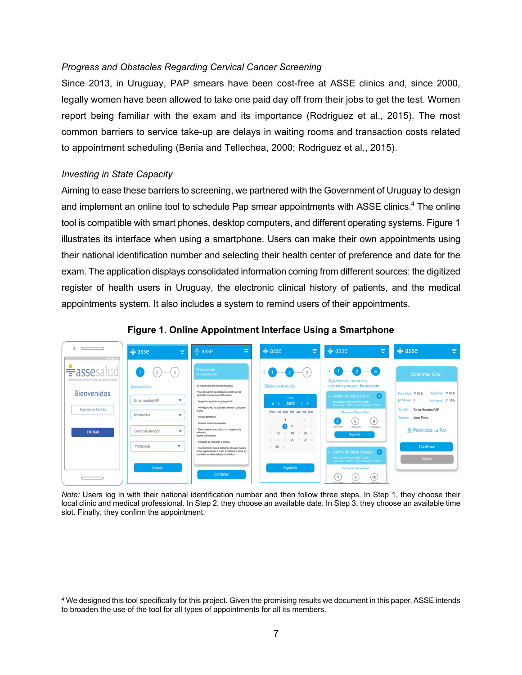# *Progress and Obstacles Regarding Cervical Cancer Screening*

Since 2013, in Uruguay, PAP smears have been cost-free at ASSE clinics and, since 2000, legally women have been allowed to take one paid day off from their jobs to get the test. Women report being familiar with the exam and its importance (Rodriguez et al., 2015). The most common barriers to service take-up are delays in waiting rooms and transaction costs related to appointment scheduling (Benia and Tellechea, 2000; Rodriguez et al., 2015).

# *Investing in State Capacity*

Aiming to ease these barriers to screening, we partnered with the Government of Uruguay to design and implement an online tool to schedule Pap smear appointments with ASSE clinics.<sup>4</sup> The online tool is compatible with smart phones, desktop computers, and different operating systems. Figure 1 illustrates its interface when using a smartphone. Users can make their own appointments using their national identification number and selecting their health center of preference and date for the exam. The application displays consolidated information coming from different sources: the digitized register of health users in Uruguay, the electronic clinical history of patients, and the medical appointments system. It also includes a system to remind users of their appointments.



#### **Figure 1. Online Appointment Interface Using a Smartphone**

*Note:* Users log in with their national identification number and then follow three steps. In Step 1, they choose their local clinic and medical professional. In Step 2, they choose an available date. In Step 3, they choose an available time slot. Finally, they confirm the appointment.

<sup>4</sup> We designed this tool specifically for this project. Given the promising results we document in this paper, ASSE intends to broaden the use of the tool for all types of appointments for all its members.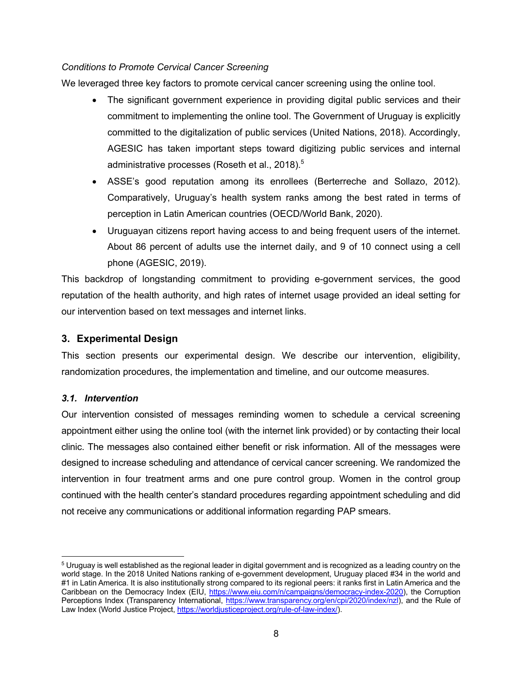# *Conditions to Promote Cervical Cancer Screening*

We leveraged three key factors to promote cervical cancer screening using the online tool.

- The significant government experience in providing digital public services and their commitment to implementing the online tool. The Government of Uruguay is explicitly committed to the digitalization of public services (United Nations, 2018). Accordingly, AGESIC has taken important steps toward digitizing public services and internal administrative processes (Roseth et al., 2018).<sup>5</sup>
- ASSE's good reputation among its enrollees (Berterreche and Sollazo, 2012). Comparatively, Uruguay's health system ranks among the best rated in terms of perception in Latin American countries (OECD/World Bank, 2020).
- Uruguayan citizens report having access to and being frequent users of the internet. About 86 percent of adults use the internet daily, and 9 of 10 connect using a cell phone (AGESIC, 2019).

This backdrop of longstanding commitment to providing e-government services, the good reputation of the health authority, and high rates of internet usage provided an ideal setting for our intervention based on text messages and internet links.

# **3. Experimental Design**

This section presents our experimental design. We describe our intervention, eligibility, randomization procedures, the implementation and timeline, and our outcome measures.

# *3.1. Intervention*

Our intervention consisted of messages reminding women to schedule a cervical screening appointment either using the online tool (with the internet link provided) or by contacting their local clinic. The messages also contained either benefit or risk information. All of the messages were designed to increase scheduling and attendance of cervical cancer screening. We randomized the intervention in four treatment arms and one pure control group. Women in the control group continued with the health center's standard procedures regarding appointment scheduling and did not receive any communications or additional information regarding PAP smears.

<sup>&</sup>lt;sup>5</sup> Uruguay is well established as the regional leader in digital government and is recognized as a leading country on the world stage. In the 2018 United Nations ranking of e-government development, Uruguay placed #34 in the world and #1 in Latin America. It is also institutionally strong compared to its regional peers: it ranks first in Latin America and the Caribbean on the Democracy Index (EIU, https://www.eiu.com/n/campaigns/democracy-index-2020), the Corruption Perceptions Index (Transparency International, https://www.transparency.org/en/cpi/2020/index/nzl), and the Rule of Law Index (World Justice Project, https://worldjusticeproject.org/rule-of-law-index/).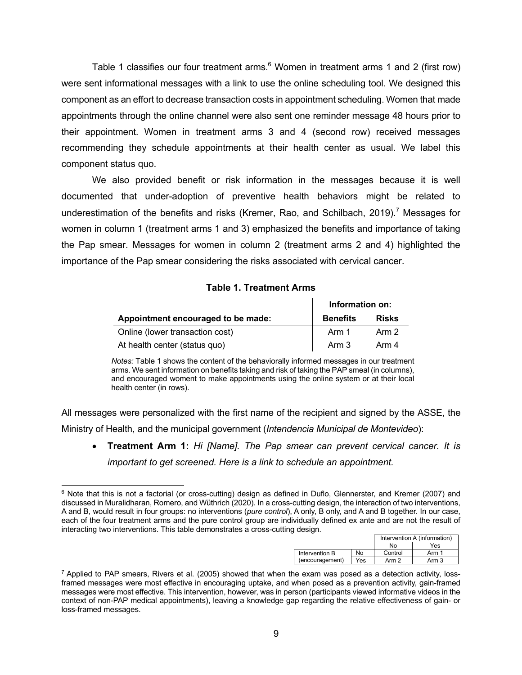Table 1 classifies our four treatment arms.<sup>6</sup> Women in treatment arms 1 and 2 (first row) were sent informational messages with a link to use the online scheduling tool. We designed this component as an effort to decrease transaction costs in appointment scheduling. Women that made appointments through the online channel were also sent one reminder message 48 hours prior to their appointment. Women in treatment arms 3 and 4 (second row) received messages recommending they schedule appointments at their health center as usual. We label this component status quo.

We also provided benefit or risk information in the messages because it is well documented that under-adoption of preventive health behaviors might be related to underestimation of the benefits and risks (Kremer, Rao, and Schilbach, 2019).<sup>7</sup> Messages for women in column 1 (treatment arms 1 and 3) emphasized the benefits and importance of taking the Pap smear. Messages for women in column 2 (treatment arms 2 and 4) highlighted the importance of the Pap smear considering the risks associated with cervical cancer.

### **Table 1. Treatment Arms**

|                                    | Information on: |              |  |  |
|------------------------------------|-----------------|--------------|--|--|
| Appointment encouraged to be made: | <b>Benefits</b> | <b>Risks</b> |  |  |
| Online (lower transaction cost)    | Arm 1           | Arm 2        |  |  |
| At health center (status quo)      | Arm 3           | Arm 4        |  |  |

*Notes:* Table 1 shows the content of the behaviorally informed messages in our treatment arms. We sent information on benefits taking and risk of taking the PAP smeal (in columns), and encouraged woment to make appointments using the online system or at their local health center (in rows).

All messages were personalized with the first name of the recipient and signed by the ASSE, the Ministry of Health, and the municipal government (*Intendencia Municipal de Montevideo*):

• **Treatment Arm 1:** *Hi [Name]. The Pap smear can prevent cervical cancer. It is important to get screened. Here is a link to schedule an appointment.*

<sup>6</sup> Note that this is not a factorial (or cross-cutting) design as defined in Duflo, Glennerster, and Kremer (2007) and discussed in Muralidharan, Romero, and Wüthrich (2020). In a cross-cutting design, the interaction of two interventions, A and B, would result in four groups: no interventions (*pure control*), A only, B only, and A and B together. In our case, each of the four treatment arms and the pure control group are individually defined ex ante and are not the result of interacting two interventions. This table demonstrates a cross-cutting design.

|                 |     |         | Intervention A (information) |
|-----------------|-----|---------|------------------------------|
|                 |     | No      | Yes                          |
| Intervention B  | No  | Control | Arm 1                        |
| (encouragement) | Yes | Arm 2   | Arm 3                        |

 $7$  Applied to PAP smears, Rivers et al. (2005) showed that when the exam was posed as a detection activity, lossframed messages were most effective in encouraging uptake, and when posed as a prevention activity, gain-framed messages were most effective. This intervention, however, was in person (participants viewed informative videos in the context of non-PAP medical appointments), leaving a knowledge gap regarding the relative effectiveness of gain- or loss-framed messages.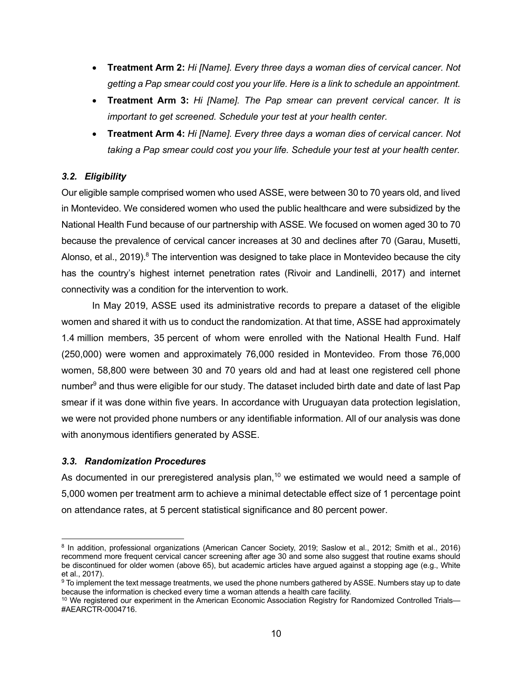- **Treatment Arm 2:** *Hi [Name]. Every three days a woman dies of cervical cancer. Not getting a Pap smear could cost you your life. Here is a link to schedule an appointment.*
- **Treatment Arm 3:** *Hi [Name]. The Pap smear can prevent cervical cancer. It is important to get screened. Schedule your test at your health center.*
- **Treatment Arm 4:** *Hi [Name]. Every three days a woman dies of cervical cancer. Not taking a Pap smear could cost you your life. Schedule your test at your health center.*

# *3.2. Eligibility*

Our eligible sample comprised women who used ASSE, were between 30 to 70 years old, and lived in Montevideo. We considered women who used the public healthcare and were subsidized by the National Health Fund because of our partnership with ASSE. We focused on women aged 30 to 70 because the prevalence of cervical cancer increases at 30 and declines after 70 (Garau, Musetti, Alonso, et al., 2019). $8$  The intervention was designed to take place in Montevideo because the city has the country's highest internet penetration rates (Rivoir and Landinelli, 2017) and internet connectivity was a condition for the intervention to work.

In May 2019, ASSE used its administrative records to prepare a dataset of the eligible women and shared it with us to conduct the randomization. At that time, ASSE had approximately 1.4 million members, 35 percent of whom were enrolled with the National Health Fund. Half (250,000) were women and approximately 76,000 resided in Montevideo. From those 76,000 women, 58,800 were between 30 and 70 years old and had at least one registered cell phone number<sup>9</sup> and thus were eligible for our study. The dataset included birth date and date of last Pap smear if it was done within five years. In accordance with Uruguayan data protection legislation, we were not provided phone numbers or any identifiable information. All of our analysis was done with anonymous identifiers generated by ASSE.

# *3.3. Randomization Procedures*

As documented in our preregistered analysis plan,<sup>10</sup> we estimated we would need a sample of 5,000 women per treatment arm to achieve a minimal detectable effect size of 1 percentage point on attendance rates, at 5 percent statistical significance and 80 percent power.

<sup>8</sup> In addition, professional organizations (American Cancer Society, 2019; Saslow et al., 2012; Smith et al., 2016) recommend more frequent cervical cancer screening after age 30 and some also suggest that routine exams should be discontinued for older women (above 65), but academic articles have argued against a stopping age (e.g., White

et al., 2017).<br><sup>9</sup> To implement the text message treatments, we used the phone numbers gathered by ASSE. Numbers stay up to date<br>because the information is checked every time a woman attends a health care facility.

 $10$  We registered our experiment in the American Economic Association Registry for Randomized Controlled Trials— #AEARCTR-0004716.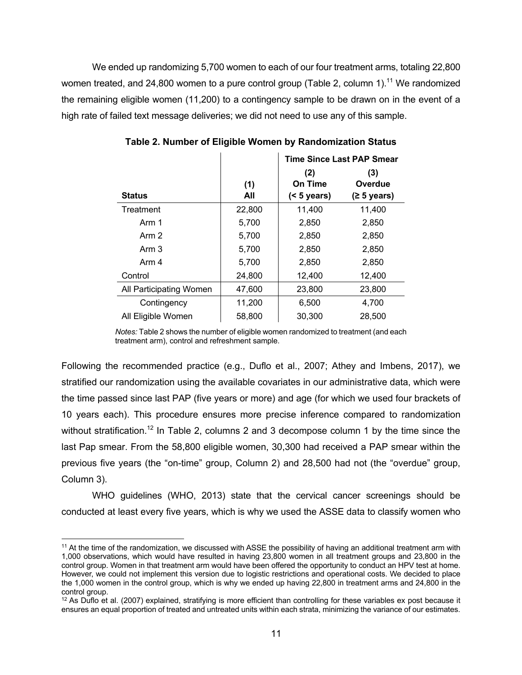We ended up randomizing 5,700 women to each of our four treatment arms, totaling 22,800 women treated, and 24,800 women to a pure control group (Table 2, column 1).<sup>11</sup> We randomized the remaining eligible women (11,200) to a contingency sample to be drawn on in the event of a high rate of failed text message deliveries; we did not need to use any of this sample.

|                         |        | <b>Time Since Last PAP Smear</b> |             |  |  |  |
|-------------------------|--------|----------------------------------|-------------|--|--|--|
|                         |        | (2)                              | (3)         |  |  |  |
|                         | (1)    | On Time                          | Overdue     |  |  |  |
| <b>Status</b>           | All    | $(5 \text{ years})$              | (≥ 5 years) |  |  |  |
| Treatment               | 22,800 | 11,400                           | 11,400      |  |  |  |
| Arm 1                   | 5,700  | 2,850                            | 2,850       |  |  |  |
| Arm 2                   | 5,700  | 2,850                            | 2,850       |  |  |  |
| Arm 3                   | 5,700  | 2,850                            | 2,850       |  |  |  |
| Arm 4                   | 5,700  | 2,850                            | 2,850       |  |  |  |
| Control                 | 24,800 | 12,400                           | 12,400      |  |  |  |
| All Participating Women | 47,600 | 23,800                           | 23,800      |  |  |  |
| Contingency             | 11,200 | 6,500                            | 4,700       |  |  |  |
| All Eligible Women      | 58,800 | 30,300                           | 28,500      |  |  |  |

**Table 2. Number of Eligible Women by Randomization Status**

*Notes:* Table 2 shows the number of eligible women randomized to treatment (and each treatment arm), control and refreshment sample.

Following the recommended practice (e.g., Duflo et al., 2007; Athey and Imbens, 2017), we stratified our randomization using the available covariates in our administrative data, which were the time passed since last PAP (five years or more) and age (for which we used four brackets of 10 years each). This procedure ensures more precise inference compared to randomization without stratification.<sup>12</sup> In Table 2, columns 2 and 3 decompose column 1 by the time since the last Pap smear. From the 58,800 eligible women, 30,300 had received a PAP smear within the previous five years (the "on-time" group, Column 2) and 28,500 had not (the "overdue" group, Column 3).

WHO guidelines (WHO, 2013) state that the cervical cancer screenings should be conducted at least every five years, which is why we used the ASSE data to classify women who

<sup>&</sup>lt;sup>11</sup> At the time of the randomization, we discussed with ASSE the possibility of having an additional treatment arm with 1,000 observations, which would have resulted in having 23,800 women in all treatment groups and 23,800 in the control group. Women in that treatment arm would have been offered the opportunity to conduct an HPV test at home. However, we could not implement this version due to logistic restrictions and operational costs. We decided to place the 1,000 women in the control group, which is why we ended up having 22,800 in treatment arms and 24,800 in the control group.

 $12$  As Duflo et al. (2007) explained, stratifying is more efficient than controlling for these variables ex post because it ensures an equal proportion of treated and untreated units within each strata, minimizing the variance of our estimates.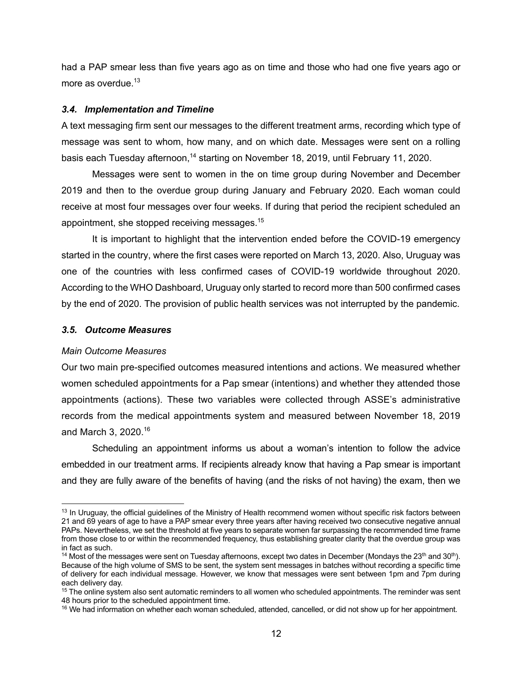had a PAP smear less than five years ago as on time and those who had one five years ago or more as overdue.<sup>13</sup>

#### *3.4. Implementation and Timeline*

A text messaging firm sent our messages to the different treatment arms, recording which type of message was sent to whom, how many, and on which date. Messages were sent on a rolling basis each Tuesday afternoon,<sup>14</sup> starting on November 18, 2019, until February 11, 2020.

Messages were sent to women in the on time group during November and December 2019 and then to the overdue group during January and February 2020. Each woman could receive at most four messages over four weeks. If during that period the recipient scheduled an appointment, she stopped receiving messages.15

It is important to highlight that the intervention ended before the COVID-19 emergency started in the country, where the first cases were reported on March 13, 2020. Also, Uruguay was one of the countries with less confirmed cases of COVID-19 worldwide throughout 2020. According to the WHO Dashboard, Uruguay only started to record more than 500 confirmed cases by the end of 2020. The provision of public health services was not interrupted by the pandemic.

# *3.5. Outcome Measures*

### *Main Outcome Measures*

Our two main pre-specified outcomes measured intentions and actions. We measured whether women scheduled appointments for a Pap smear (intentions) and whether they attended those appointments (actions). These two variables were collected through ASSE's administrative records from the medical appointments system and measured between November 18, 2019 and March 3, 2020.16

Scheduling an appointment informs us about a woman's intention to follow the advice embedded in our treatment arms. If recipients already know that having a Pap smear is important and they are fully aware of the benefits of having (and the risks of not having) the exam, then we

<sup>&</sup>lt;sup>13</sup> In Uruguay, the official guidelines of the Ministry of Health recommend women without specific risk factors between 21 and 69 years of age to have a PAP smear every three years after having received two consecutive negative annual PAPs. Nevertheless, we set the threshold at five years to separate women far surpassing the recommended time frame from those close to or within the recommended frequency, thus establishing greater clarity that the overdue group was in fact as such.

<sup>&</sup>lt;sup>14</sup> Most of the messages were sent on Tuesday afternoons, except two dates in December (Mondays the 23<sup>th</sup> and 30<sup>th</sup>). Because of the high volume of SMS to be sent, the system sent messages in batches without recording a specific time of delivery for each individual message. However, we know that messages were sent between 1pm and 7pm during each delivery day.

<sup>&</sup>lt;sup>15</sup> The online system also sent automatic reminders to all women who scheduled appointments. The reminder was sent 48 hours prior to the scheduled appointment time.

<sup>&</sup>lt;sup>16</sup> We had information on whether each woman scheduled, attended, cancelled, or did not show up for her appointment.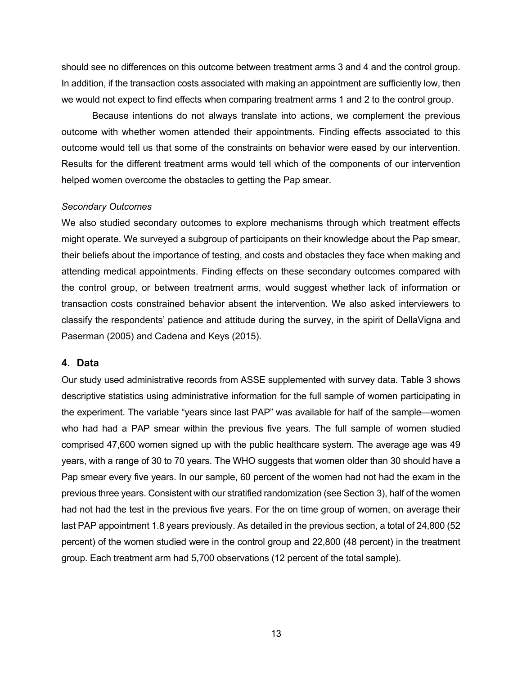should see no differences on this outcome between treatment arms 3 and 4 and the control group. In addition, if the transaction costs associated with making an appointment are sufficiently low, then we would not expect to find effects when comparing treatment arms 1 and 2 to the control group.

Because intentions do not always translate into actions, we complement the previous outcome with whether women attended their appointments. Finding effects associated to this outcome would tell us that some of the constraints on behavior were eased by our intervention. Results for the different treatment arms would tell which of the components of our intervention helped women overcome the obstacles to getting the Pap smear.

#### *Secondary Outcomes*

We also studied secondary outcomes to explore mechanisms through which treatment effects might operate. We surveyed a subgroup of participants on their knowledge about the Pap smear, their beliefs about the importance of testing, and costs and obstacles they face when making and attending medical appointments. Finding effects on these secondary outcomes compared with the control group, or between treatment arms, would suggest whether lack of information or transaction costs constrained behavior absent the intervention. We also asked interviewers to classify the respondents' patience and attitude during the survey, in the spirit of DellaVigna and Paserman (2005) and Cadena and Keys (2015).

### **4. Data**

Our study used administrative records from ASSE supplemented with survey data. Table 3 shows descriptive statistics using administrative information for the full sample of women participating in the experiment. The variable "years since last PAP" was available for half of the sample—women who had had a PAP smear within the previous five years. The full sample of women studied comprised 47,600 women signed up with the public healthcare system. The average age was 49 years, with a range of 30 to 70 years. The WHO suggests that women older than 30 should have a Pap smear every five years. In our sample, 60 percent of the women had not had the exam in the previous three years. Consistent with our stratified randomization (see Section 3), half of the women had not had the test in the previous five years. For the on time group of women, on average their last PAP appointment 1.8 years previously. As detailed in the previous section, a total of 24,800 (52 percent) of the women studied were in the control group and 22,800 (48 percent) in the treatment group. Each treatment arm had 5,700 observations (12 percent of the total sample).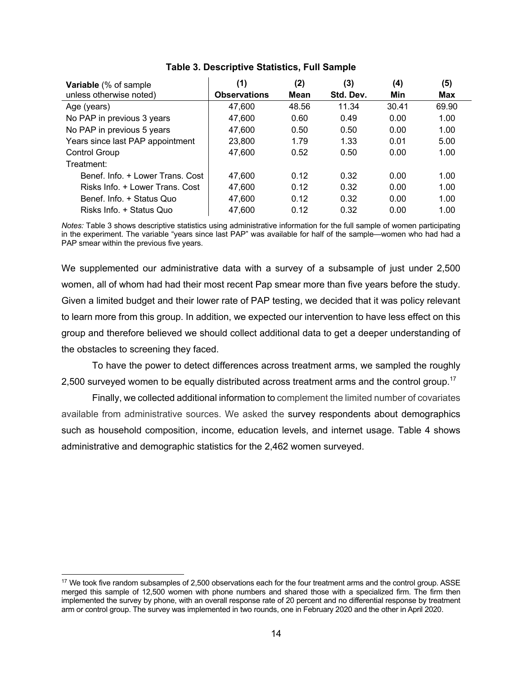| <b>Variable</b> (% of sample     | (1)                 | (2)   | (3)       | (4)   | (5)   |
|----------------------------------|---------------------|-------|-----------|-------|-------|
| unless otherwise noted)          | <b>Observations</b> | Mean  | Std. Dev. | Min   | Max   |
| Age (years)                      | 47,600              | 48.56 | 11.34     | 30.41 | 69.90 |
| No PAP in previous 3 years       | 47,600              | 0.60  | 0.49      | 0.00  | 1.00  |
| No PAP in previous 5 years       | 47,600              | 0.50  | 0.50      | 0.00  | 1.00  |
| Years since last PAP appointment | 23,800              | 1.79  | 1.33      | 0.01  | 5.00  |
| <b>Control Group</b>             | 47,600              | 0.52  | 0.50      | 0.00  | 1.00  |
| Treatment:                       |                     |       |           |       |       |
| Benef. Info. + Lower Trans. Cost | 47.600              | 0.12  | 0.32      | 0.00  | 1.00  |
| Risks Info. + Lower Trans. Cost  | 47,600              | 0.12  | 0.32      | 0.00  | 1.00  |
| Benef. Info. + Status Quo        | 47,600              | 0.12  | 0.32      | 0.00  | 1.00  |
| Risks Info. + Status Quo         | 47,600              | 0.12  | 0.32      | 0.00  | 1.00  |

# **Table 3. Descriptive Statistics, Full Sample**

*Notes:* Table 3 shows descriptive statistics using administrative information for the full sample of women participating in the experiment. The variable "years since last PAP" was available for half of the sample—women who had had a PAP smear within the previous five years.

We supplemented our administrative data with a survey of a subsample of just under 2,500 women, all of whom had had their most recent Pap smear more than five years before the study. Given a limited budget and their lower rate of PAP testing, we decided that it was policy relevant to learn more from this group. In addition, we expected our intervention to have less effect on this group and therefore believed we should collect additional data to get a deeper understanding of the obstacles to screening they faced.

To have the power to detect differences across treatment arms, we sampled the roughly 2,500 surveyed women to be equally distributed across treatment arms and the control group.<sup>17</sup>

Finally, we collected additional information to complement the limited number of covariates available from administrative sources. We asked the survey respondents about demographics such as household composition, income, education levels, and internet usage. Table 4 shows administrative and demographic statistics for the 2,462 women surveyed.

<sup>&</sup>lt;sup>17</sup> We took five random subsamples of 2,500 observations each for the four treatment arms and the control group. ASSE merged this sample of 12,500 women with phone numbers and shared those with a specialized firm. The firm then implemented the survey by phone, with an overall response rate of 20 percent and no differential response by treatment arm or control group. The survey was implemented in two rounds, one in February 2020 and the other in April 2020.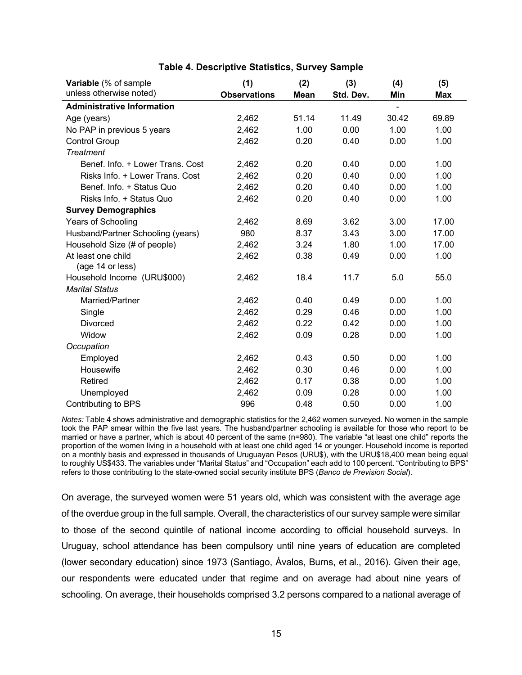| Variable (% of sample<br>unless otherwise noted) | (1)<br><b>Observations</b> | (2)<br><b>Mean</b> | (3)<br>Std. Dev. | (4)<br>Min | (5)<br><b>Max</b> |
|--------------------------------------------------|----------------------------|--------------------|------------------|------------|-------------------|
| <b>Administrative Information</b>                |                            |                    |                  |            |                   |
| Age (years)                                      | 2,462                      | 51.14              | 11.49            | 30.42      | 69.89             |
| No PAP in previous 5 years                       | 2,462                      | 1.00               | 0.00             | 1.00       | 1.00              |
| <b>Control Group</b>                             | 2,462                      | 0.20               | 0.40             | 0.00       | 1.00              |
| <b>Treatment</b>                                 |                            |                    |                  |            |                   |
| Benef. Info. + Lower Trans. Cost                 | 2,462                      | 0.20               | 0.40             | 0.00       | 1.00              |
| Risks Info. + Lower Trans. Cost                  | 2,462                      | 0.20               | 0.40             | 0.00       | 1.00              |
| Benef. Info. + Status Quo                        | 2,462                      | 0.20               | 0.40             | 0.00       | 1.00              |
| Risks Info. + Status Quo                         | 2,462                      | 0.20               | 0.40             | 0.00       | 1.00              |
| <b>Survey Demographics</b>                       |                            |                    |                  |            |                   |
| Years of Schooling                               | 2,462                      | 8.69               | 3.62             | 3.00       | 17.00             |
| Husband/Partner Schooling (years)                | 980                        | 8.37               | 3.43             | 3.00       | 17.00             |
| Household Size (# of people)                     | 2,462                      | 3.24               | 1.80             | 1.00       | 17.00             |
| At least one child                               |                            | 0.38               | 0.49             | 0.00       | 1.00              |
| (age 14 or less)                                 | 2,462                      |                    |                  |            |                   |
| Household Income (URU\$000)                      | 2,462                      | 18.4               | 11.7             | 5.0        | 55.0              |
| <b>Marital Status</b>                            |                            |                    |                  |            |                   |
| Married/Partner                                  | 2,462                      | 0.40               | 0.49             | 0.00       | 1.00              |
| Single                                           | 2,462                      | 0.29               | 0.46             | 0.00       | 1.00              |
| <b>Divorced</b>                                  | 2,462                      | 0.22               | 0.42             | 0.00       | 1.00              |
| Widow                                            | 2,462                      | 0.09               | 0.28             | 0.00       | 1.00              |
| Occupation                                       |                            |                    |                  |            |                   |
|                                                  |                            |                    |                  |            |                   |
| Employed                                         | 2,462                      | 0.43               | 0.50             | 0.00       | 1.00              |
| Housewife                                        | 2,462                      | 0.30               | 0.46             | 0.00       | 1.00              |
| Retired                                          | 2,462                      | 0.17               | 0.38             | 0.00       | 1.00              |
| Unemployed                                       | 2,462                      | 0.09               | 0.28             | 0.00       | 1.00              |
| <b>Contributing to BPS</b>                       | 996                        | 0.48               | 0.50             | 0.00       | 1.00              |

# **Table 4. Descriptive Statistics, Survey Sample**

*Notes:* Table 4 shows administrative and demographic statistics for the 2,462 women surveyed. No women in the sample took the PAP smear within the five last years. The husband/partner schooling is available for those who report to be married or have a partner, which is about 40 percent of the same (n=980). The variable "at least one child" reports the proportion of the women living in a household with at least one child aged 14 or younger. Household income is reported on a monthly basis and expressed in thousands of Uruguayan Pesos (URU\$), with the URU\$18,400 mean being equal to roughly US\$433. The variables under "Marital Status" and "Occupation" each add to 100 percent. "Contributing to BPS" refers to those contributing to the state-owned social security institute BPS (*Banco de Prevision Social*).

On average, the surveyed women were 51 years old, which was consistent with the average age of the overdue group in the full sample. Overall, the characteristics of our survey sample were similar to those of the second quintile of national income according to official household surveys. In Uruguay, school attendance has been compulsory until nine years of education are completed (lower secondary education) since 1973 (Santiago, Ávalos, Burns, et al., 2016). Given their age, our respondents were educated under that regime and on average had about nine years of schooling. On average, their households comprised 3.2 persons compared to a national average of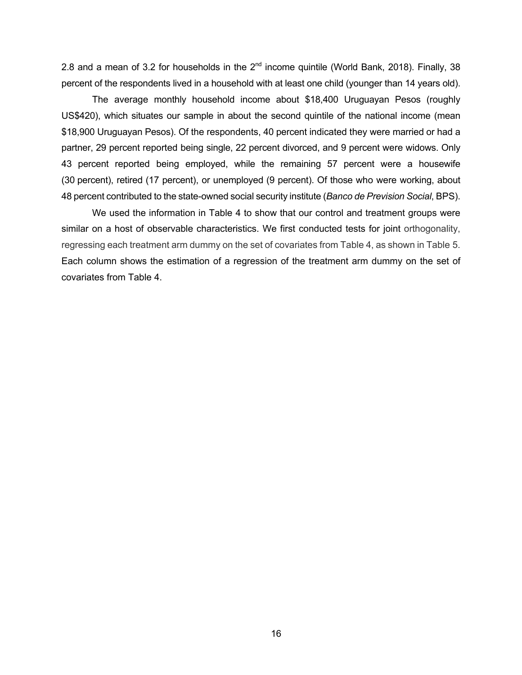2.8 and a mean of 3.2 for households in the  $2^{nd}$  income quintile (World Bank, 2018). Finally, 38 percent of the respondents lived in a household with at least one child (younger than 14 years old).

The average monthly household income about \$18,400 Uruguayan Pesos (roughly US\$420), which situates our sample in about the second quintile of the national income (mean \$18,900 Uruguayan Pesos). Of the respondents, 40 percent indicated they were married or had a partner, 29 percent reported being single, 22 percent divorced, and 9 percent were widows. Only 43 percent reported being employed, while the remaining 57 percent were a housewife (30 percent), retired (17 percent), or unemployed (9 percent). Of those who were working, about 48 percent contributed to the state-owned social security institute (*Banco de Prevision Social*, BPS).

We used the information in Table 4 to show that our control and treatment groups were similar on a host of observable characteristics. We first conducted tests for joint orthogonality, regressing each treatment arm dummy on the set of covariates from Table 4, as shown in Table 5. Each column shows the estimation of a regression of the treatment arm dummy on the set of covariates from Table 4.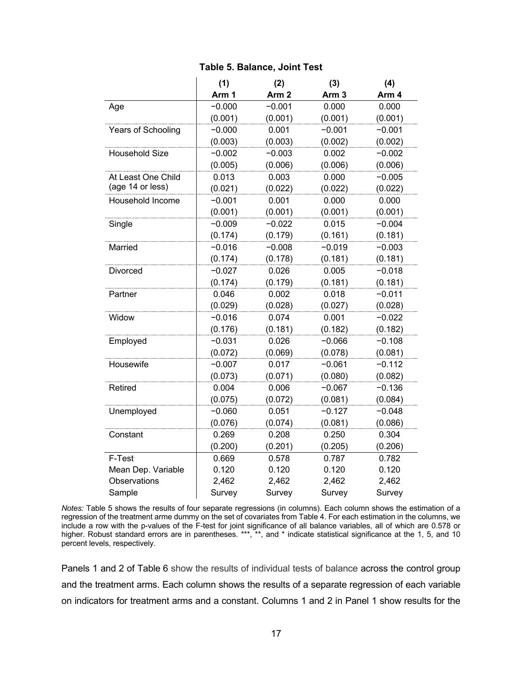# **Table 5. Balance, Joint Test**

|                       | (1)      | (2)              | (3)              | (4)      |
|-----------------------|----------|------------------|------------------|----------|
|                       | Arm 1    | Arm <sub>2</sub> | Arm <sub>3</sub> | Arm 4    |
| Age                   | $-0.000$ | $-0.001$         | 0.000            | 0.000    |
|                       | (0.001)  | (0.001)          | (0.001)          | (0.001)  |
| Years of Schooling    | $-0.000$ | 0.001            | $-0.001$         | $-0.001$ |
|                       | (0.003)  | (0.003)          | (0.002)          | (0.002)  |
| <b>Household Size</b> | $-0.002$ | $-0.003$         | 0.002            | $-0.002$ |
|                       | (0.005)  | (0.006)          | (0.006)          | (0.006)  |
| At Least One Child    | 0.013    | 0.003            | 0.000            | $-0.005$ |
| (age 14 or less)      | (0.021)  | (0.022)          | (0.022)          | (0.022)  |
| Household Income      | $-0.001$ | 0.001            | 0.000            | 0.000    |
|                       | (0.001)  | (0.001)          | (0.001)          | (0.001)  |
| Single                | $-0.009$ | $-0.022$         | 0.015            | $-0.004$ |
|                       | (0.174)  | (0.179)          | (0.161)          | (0.181)  |
| Married               | $-0.016$ | $-0.008$         | $-0.019$         | $-0.003$ |
|                       | (0.174)  | (0.178)          | (0.181)          | (0.181)  |
| <b>Divorced</b>       | $-0.027$ | 0.026            | 0.005            | $-0.018$ |
|                       | (0.174)  | (0.179)          | (0.181)          | (0.181)  |
| Partner               | 0.046    | 0.002            | 0.018            | $-0.011$ |
|                       | (0.029)  | (0.028)          | (0.027)          | (0.028)  |
| Widow                 | $-0.016$ | 0.074            | 0.001            | $-0.022$ |
|                       | (0.176)  | (0.181)          | (0.182)          | (0.182)  |
| Employed              | $-0.031$ | 0.026            | $-0.066$         | $-0.108$ |
|                       | (0.072)  | (0.069)          | (0.078)          | (0.081)  |
| Housewife             | $-0.007$ | 0.017            | $-0.061$         | $-0.112$ |
|                       | (0.073)  | (0.071)          | (0.080)          | (0.082)  |
| Retired               | 0.004    | 0.006            | $-0.067$         | $-0.136$ |
|                       | (0.075)  | (0.072)          | (0.081)          | (0.084)  |
| Unemployed            | $-0.060$ | 0.051            | $-0.127$         | $-0.048$ |
|                       | (0.076)  | (0.074)          | (0.081)          | (0.086)  |
| Constant              | 0.269    | 0.208            | 0.250            | 0.304    |
|                       | (0.200)  | (0.201)          | (0.205)          | (0.206)  |
| F-Test                | 0.669    | 0.578            | 0.787            | 0.782    |
| Mean Dep. Variable    | 0.120    | 0.120            | 0.120            | 0.120    |
| Observations          | 2,462    | 2,462            | 2,462            | 2,462    |
| Sample                | Survey   | Survey           | Survey           | Survey   |

*Notes:* Table 5 shows the results of four separate regressions (in columns). Each column shows the estimation of a regression of the treatment arme dummy on the set of covariates from Table 4. For each estimation in the columns, we include a row with the p-values of the F-test for joint significance of all balance variables, all of which are 0.578 or higher. Robust standard errors are in parentheses. \*\*\*, \*\*, and \* indicate statistical significance at the 1, 5, and 10 percent levels, respectively.

Panels 1 and 2 of Table 6 show the results of individual tests of balance across the control group and the treatment arms. Each column shows the results of a separate regression of each variable on indicators for treatment arms and a constant. Columns 1 and 2 in Panel 1 show results for the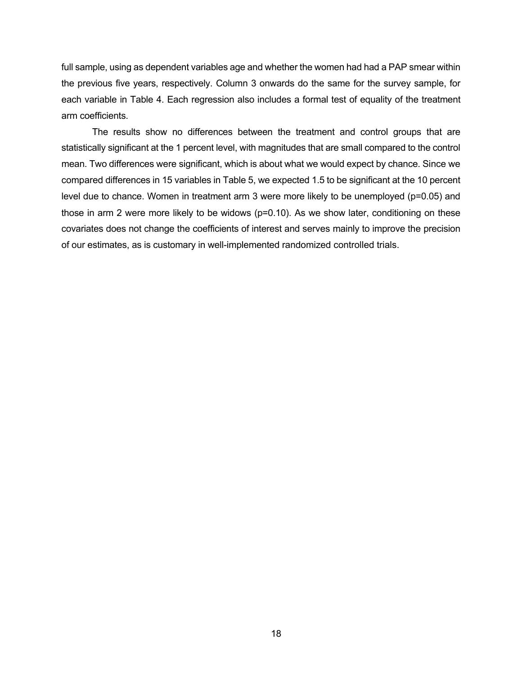full sample, using as dependent variables age and whether the women had had a PAP smear within the previous five years, respectively. Column 3 onwards do the same for the survey sample, for each variable in Table 4. Each regression also includes a formal test of equality of the treatment arm coefficients.

The results show no differences between the treatment and control groups that are statistically significant at the 1 percent level, with magnitudes that are small compared to the control mean. Two differences were significant, which is about what we would expect by chance. Since we compared differences in 15 variables in Table 5, we expected 1.5 to be significant at the 10 percent level due to chance. Women in treatment arm 3 were more likely to be unemployed (p=0.05) and those in arm 2 were more likely to be widows (p=0.10). As we show later, conditioning on these covariates does not change the coefficients of interest and serves mainly to improve the precision of our estimates, as is customary in well-implemented randomized controlled trials.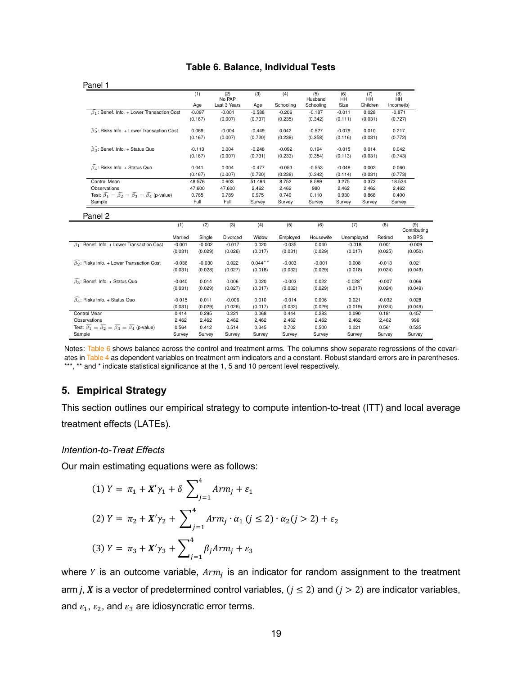# **Table 6. Balance, Individual Tests Table 6:** Balance, Individual Tests

|                                                                                                 | (1)      | (2)<br>No PAP | (3)      | (4)       | (5)<br>Husband | (6)<br><b>HH</b> | (7)<br><b>HH</b> | (8)<br>HH |
|-------------------------------------------------------------------------------------------------|----------|---------------|----------|-----------|----------------|------------------|------------------|-----------|
|                                                                                                 | Age      | Last 3 Years  | Age      | Schooling | Schooling      | Size             | Children         | Income(b) |
| $\beta_1$ : Benef. Info. + Lower Transaction Cost                                               | $-0.097$ | $-0.001$      | $-0.588$ | $-0.206$  | $-0.187$       | $-0.011$         | 0.028            | $-0.871$  |
|                                                                                                 | (0.167)  | (0.007)       | (0.737)  | (0.235)   | (0.342)        | (0.111)          | (0.031)          | (0.727)   |
| $\widehat{\beta}_2$ : Risks Info. + Lower Transaction Cost                                      | 0.069    | $-0.004$      | $-0.449$ | 0.042     | $-0.527$       | $-0.079$         | 0.010            | 0.217     |
|                                                                                                 | (0.167)  | (0.007)       | (0.720)  | (0.239)   | (0.358)        | (0.116)          | (0.031)          | (0.772)   |
| $\widehat{\beta_3}$ : Benef. Info. + Status Quo                                                 | $-0.113$ | 0.004         | $-0.248$ | $-0.092$  | 0.194          | $-0.015$         | 0.014            | 0.042     |
|                                                                                                 | (0.167)  | (0.007)       | (0.731)  | (0.233)   | (0.354)        | (0.113)          | (0.031)          | (0.743)   |
| $\widehat{\beta}_A$ : Risks Info. + Status Quo                                                  | 0.041    | 0.004         | $-0.477$ | $-0.053$  | $-0.553$       | $-0.049$         | 0.002            | 0.060     |
|                                                                                                 | (0.167)  | (0.007)       | (0.720)  | (0.238)   | (0.342)        | (0.114)          | (0.031)          | (0.773)   |
| Control Mean                                                                                    | 48.576   | 0.603         | 51.494   | 8.752     | 8.589          | 3.275            | 0.373            | 18.534    |
| Observations                                                                                    | 47,600   | 47,600        | 2,462    | 2,462     | 980            | 2,462            | 2,462            | 2,462     |
| Test: $\widehat{\beta_1} = \widehat{\beta_2} = \widehat{\beta_3} = \widehat{\beta_4}$ (p-value) | 0.765    | 0.789         | 0.975    | 0.749     | 0.110          | 0.930            | 0.868            | 0.400     |
| Sample                                                                                          | Full     | Full          | Survey   | Survey    | Survey         | Survey           | Survey           | Survey    |

| ang Z                                                                                           |          |          |          |           |          |           |            |          |                     |
|-------------------------------------------------------------------------------------------------|----------|----------|----------|-----------|----------|-----------|------------|----------|---------------------|
|                                                                                                 | (1)      | (2)      | (3)      | (4)       | (5)      | (6)       | (7)        | (8)      | (9)<br>Contributing |
|                                                                                                 | Married  | Single   | Divorced | Widow     | Employed | Housewife | Unemployed | Retired  | to BPS              |
| $\widehat{\beta_1}$ : Benef. Info. + Lower Transaction Cost                                     | $-0.001$ | $-0.002$ | $-0.017$ | 0.020     | $-0.035$ | 0.040     | $-0.018$   | 0.001    | $-0.009$            |
|                                                                                                 | (0.031)  | (0.029)  | (0.026)  | (0.017)   | (0.031)  | (0.029)   | (0.017)    | (0.025)  | (0.050)             |
| $\widehat{\beta}_2$ : Risks Info. + Lower Transaction Cost                                      | $-0.036$ | $-0.030$ | 0.022    | $0.044**$ | $-0.003$ | $-0.001$  | 0.008      | $-0.013$ | 0.021               |
|                                                                                                 | (0.031)  | (0.028)  | (0.027)  | (0.018)   | (0.032)  | (0.029)   | (0.018)    | (0.024)  | (0.049)             |
| $\beta_3$ : Benef. Info. + Status Quo                                                           | $-0.040$ | 0.014    | 0.006    | 0.020     | $-0.003$ | 0.022     | $-0.028*$  | $-0.007$ | 0.066               |
|                                                                                                 | (0.031)  | (0.029)  | (0.027)  | (0.017)   | (0.032)  | (0.029)   | (0.017)    | (0.024)  | (0.049)             |
| $\widehat{\beta_4}$ : Risks Info. + Status Quo                                                  | $-0.015$ | 0.011    | $-0.006$ | 0.010     | $-0.014$ | 0.006     | 0.021      | $-0.032$ | 0.028               |
|                                                                                                 | (0.031)  | (0.029)  | (0.026)  | (0.017)   | (0.032)  | (0.029)   | (0.019)    | (0.024)  | (0.049)             |
| Control Mean                                                                                    | 0.414    | 0.295    | 0.221    | 0.068     | 0.444    | 0.283     | 0.090      | 0.181    | 0.457               |
| Observations                                                                                    | 2,462    | 2,462    | 2,462    | 2,462     | 2,462    | 2,462     | 2,462      | 2,462    | 996                 |
| Test: $\widehat{\beta_1} = \widehat{\beta_2} = \widehat{\beta_3} = \widehat{\beta_4}$ (p-value) | 0.564    | 0.412    | 0.514    | 0.345     | 0.702    | 0.500     | 0.021      | 0.561    | 0.535               |
| Sample                                                                                          | Survey   | Survey   | Survey   | Survey    | Survey   | Survey    | Survey     | Survey   | Survey              |

Notes: Table 6 shows balance across the control and treatment arms. The columns show separate regressions of the covariates in Table 4 as dependent variables on treatment arm indicators and a constant. Robust standard errors are in parentheses. \*\*\*, \*\* and \* indicate statistical significance at the 1, 5 and 10 percent level respectively.

# **5. Empirical Strategy**

This section outlines our empirical strategy to compute intention-to-treat (ITT) and local average treatment effects (LATEs).

# *Intention-to-Treat Effects*

Our main estimating equations were as follows:

(1) 
$$
Y = \pi_1 + X'\gamma_1 + \delta \sum_{j=1}^4 Arm_j + \varepsilon_1
$$
  
\n(2)  $Y = \pi_2 + X'\gamma_2 + \sum_{j=1}^4 Arm_j \cdot \alpha_1 (j \le 2) \cdot \alpha_2 (j > 2) + \varepsilon_2$   
\n(3)  $Y = \pi_3 + X'\gamma_3 + \sum_{j=1}^4 \beta_j Arm_j + \varepsilon_3$ 

where *Y* is an outcome variable,  $Arm<sub>i</sub>$  is an indicator for random assignment to the treatment arm *j*, *X* is a vector of predetermined control variables,  $(j \le 2)$  and  $(j > 2)$  are indicator variables, and  $\varepsilon_1$ ,  $\varepsilon_2$ , and  $\varepsilon_3$  are idiosyncratic error terms.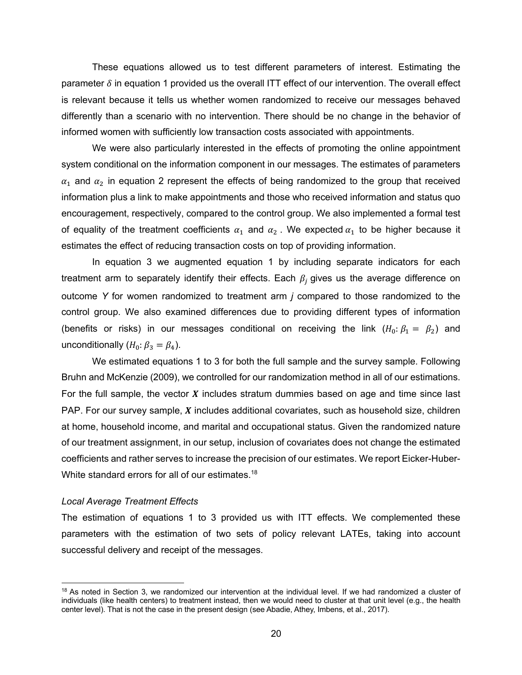These equations allowed us to test different parameters of interest. Estimating the parameter  $\delta$  in equation 1 provided us the overall ITT effect of our intervention. The overall effect is relevant because it tells us whether women randomized to receive our messages behaved differently than a scenario with no intervention. There should be no change in the behavior of informed women with sufficiently low transaction costs associated with appointments.

We were also particularly interested in the effects of promoting the online appointment system conditional on the information component in our messages. The estimates of parameters  $\alpha_1$  and  $\alpha_2$  in equation 2 represent the effects of being randomized to the group that received information plus a link to make appointments and those who received information and status quo encouragement, respectively, compared to the control group. We also implemented a formal test of equality of the treatment coefficients  $\alpha_1$  and  $\alpha_2$ . We expected  $\alpha_1$  to be higher because it estimates the effect of reducing transaction costs on top of providing information.

In equation 3 we augmented equation 1 by including separate indicators for each treatment arm to separately identify their effects. Each  $\beta_i$  gives us the average difference on outcome *Y* for women randomized to treatment arm *j* compared to those randomized to the control group. We also examined differences due to providing different types of information (benefits or risks) in our messages conditional on receiving the link  $(H_0: \beta_1 = \beta_2)$  and unconditionally  $(H_0: \beta_3 = \beta_4)$ .

We estimated equations 1 to 3 for both the full sample and the survey sample. Following Bruhn and McKenzie (2009), we controlled for our randomization method in all of our estimations. For the full sample, the vector  $X$  includes stratum dummies based on age and time since last PAP. For our survey sample,  $X$  includes additional covariates, such as household size, children at home, household income, and marital and occupational status. Given the randomized nature of our treatment assignment, in our setup, inclusion of covariates does not change the estimated coefficients and rather serves to increase the precision of our estimates. We report Eicker-Huber-White standard errors for all of our estimates.<sup>18</sup>

### *Local Average Treatment Effects*

The estimation of equations 1 to 3 provided us with ITT effects. We complemented these parameters with the estimation of two sets of policy relevant LATEs, taking into account successful delivery and receipt of the messages.

<sup>&</sup>lt;sup>18</sup> As noted in Section 3, we randomized our intervention at the individual level. If we had randomized a cluster of individuals (like health centers) to treatment instead, then we would need to cluster at that unit level (e.g., the health center level). That is not the case in the present design (see Abadie, Athey, Imbens, et al., 2017).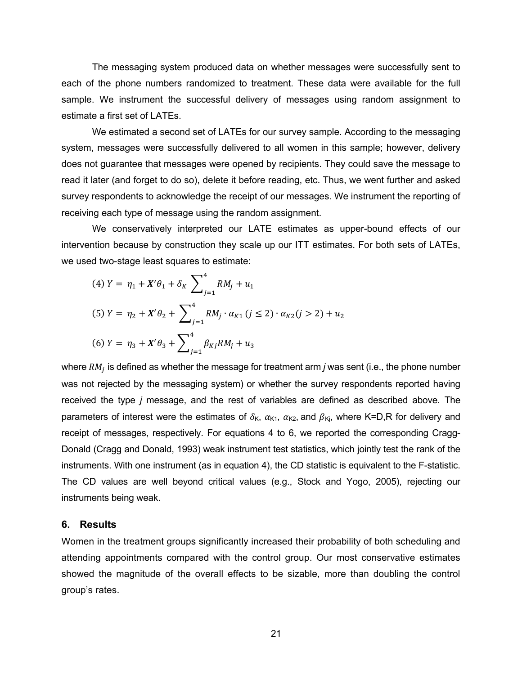The messaging system produced data on whether messages were successfully sent to each of the phone numbers randomized to treatment. These data were available for the full sample. We instrument the successful delivery of messages using random assignment to estimate a first set of LATEs.

We estimated a second set of LATEs for our survey sample. According to the messaging system, messages were successfully delivered to all women in this sample; however, delivery does not guarantee that messages were opened by recipients. They could save the message to read it later (and forget to do so), delete it before reading, etc. Thus, we went further and asked survey respondents to acknowledge the receipt of our messages. We instrument the reporting of receiving each type of message using the random assignment.

We conservatively interpreted our LATE estimates as upper-bound effects of our intervention because by construction they scale up our ITT estimates. For both sets of LATEs, we used two-stage least squares to estimate:

(4) 
$$
Y = \eta_1 + X'\theta_1 + \delta_K \sum_{j=1}^4 RM_j + u_1
$$
  
\n(5)  $Y = \eta_2 + X'\theta_2 + \sum_{j=1}^4 RM_j \cdot \alpha_{K1} (j \le 2) \cdot \alpha_{K2} (j > 2) + u_2$   
\n(6)  $Y = \eta_3 + X'\theta_3 + \sum_{j=1}^4 \beta_{Kj} RM_j + u_3$ 

where  $RM_i$  is defined as whether the message for treatment arm *j* was sent (i.e., the phone number was not rejected by the messaging system) or whether the survey respondents reported having received the type *j* message, and the rest of variables are defined as described above. The parameters of interest were the estimates of  $\delta_{\kappa}$ ,  $\alpha_{\kappa1}$ ,  $\alpha_{\kappa2}$ , and  $\beta_{\kappa i}$ , where K=D,R for delivery and receipt of messages, respectively. For equations 4 to 6, we reported the corresponding Cragg-Donald (Cragg and Donald, 1993) weak instrument test statistics, which jointly test the rank of the instruments. With one instrument (as in equation 4), the CD statistic is equivalent to the F-statistic. The CD values are well beyond critical values (e.g., Stock and Yogo, 2005), rejecting our instruments being weak.

#### **6. Results**

Women in the treatment groups significantly increased their probability of both scheduling and attending appointments compared with the control group. Our most conservative estimates showed the magnitude of the overall effects to be sizable, more than doubling the control group's rates.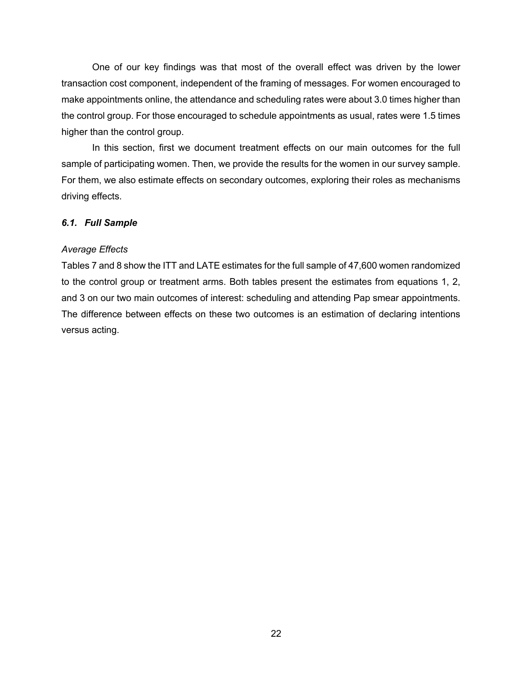One of our key findings was that most of the overall effect was driven by the lower transaction cost component, independent of the framing of messages. For women encouraged to make appointments online, the attendance and scheduling rates were about 3.0 times higher than the control group. For those encouraged to schedule appointments as usual, rates were 1.5 times higher than the control group.

In this section, first we document treatment effects on our main outcomes for the full sample of participating women. Then, we provide the results for the women in our survey sample. For them, we also estimate effects on secondary outcomes, exploring their roles as mechanisms driving effects.

# *6.1. Full Sample*

# *Average Effects*

Tables 7 and 8 show the ITT and LATE estimates for the full sample of 47,600 women randomized to the control group or treatment arms. Both tables present the estimates from equations 1, 2, and 3 on our two main outcomes of interest: scheduling and attending Pap smear appointments. The difference between effects on these two outcomes is an estimation of declaring intentions versus acting.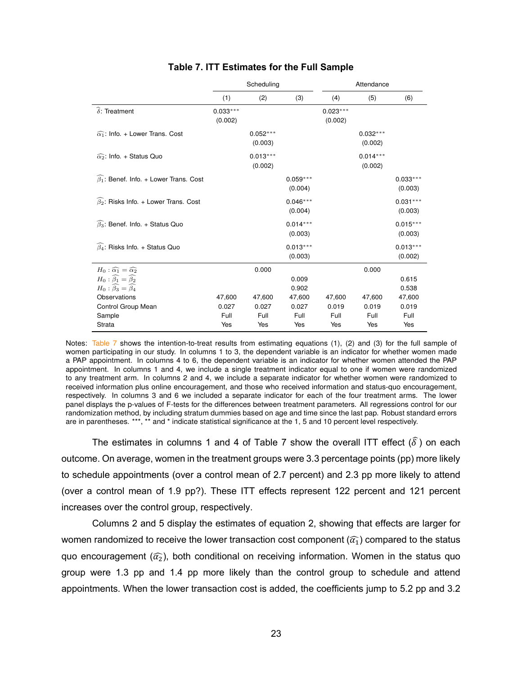|                                                        |                       | Scheduling            |                       | Attendance            |                       |                       |  |
|--------------------------------------------------------|-----------------------|-----------------------|-----------------------|-----------------------|-----------------------|-----------------------|--|
|                                                        | (1)                   | (2)                   | (3)                   | (4)                   | (5)                   | (6)                   |  |
| $\widehat{\delta}$ : Treatment                         | $0.033***$<br>(0.002) |                       |                       | $0.023***$<br>(0.002) |                       |                       |  |
| $\widehat{\alpha_1}$ : Info. + Lower Trans. Cost       |                       | $0.052***$<br>(0.003) |                       |                       | $0.032***$<br>(0.002) |                       |  |
| $\widehat{\alpha_2}$ : Info. + Status Quo              |                       | $0.013***$<br>(0.002) |                       |                       | $0.014***$<br>(0.002) |                       |  |
| $\widehat{\beta_1}$ : Benef. Info. + Lower Trans. Cost |                       |                       | $0.059***$<br>(0.004) |                       |                       | $0.033***$<br>(0.003) |  |
| $\widehat{\beta}_2$ : Risks Info. + Lower Trans. Cost  |                       |                       | $0.046***$<br>(0.004) |                       |                       | $0.031***$<br>(0.003) |  |
| $\beta_3$ : Benef. Info. + Status Quo                  |                       |                       | $0.014***$<br>(0.003) |                       |                       | $0.015***$<br>(0.003) |  |
| $\widehat{\beta_4}$ : Risks Info. + Status Quo         |                       |                       | $0.013***$<br>(0.003) |                       |                       | $0.013***$<br>(0.002) |  |
| $H_0: \widehat{\alpha_1} = \widehat{\alpha_2}$         |                       | 0.000                 |                       |                       | 0.000                 |                       |  |
| $H_0$ : $\widehat{\beta_1} = \widehat{\beta_2}$        |                       |                       | 0.009                 |                       |                       | 0.615                 |  |
| $H_0$ : $\widehat{\beta_3} = \widehat{\beta_4}$        |                       |                       | 0.902                 |                       |                       | 0.538                 |  |
| Observations                                           | 47,600<br>0.027       | 47,600<br>0.027       | 47,600<br>0.027       | 47,600<br>0.019       | 47,600<br>0.019       | 47,600<br>0.019       |  |
| Control Group Mean<br>Sample                           | Full                  | Full                  | Full                  | Full                  | Full                  | Full                  |  |
| Strata                                                 | Yes                   | Yes                   | Yes                   | Yes                   | Yes                   | Yes                   |  |

# **Table 7. ITT Estimates for the Full Sample Table 7:** ITT Estimates for the Full Sample

Notes: Table 7 shows the intention-to-treat results from estimating equations (1), (2) and (3) for the full sample of women participating in our study. In columns 1 to 3, the dependent variable is an indicator for whether women made a PAP appointment. In columns 4 to 6, the dependent variable is an indicator for whether women attended the PAP appointment. In columns 1 and 4, we include a single treatment indicator equal to one if women were randomized to any treatment arm. In columns 2 and 4, we include a separate indicator for whether women were randomized to received information plus online encouragement, and those who received information and status-quo encouragement, respectively. In columns 3 and 6 we included a separate indicator for each of the four treatment arms. The lower panel displays the p-values of F-tests for the differences between treatment parameters. All regressions control for our randomization method, by including stratum dummies based on age and time since the last pap. Robust standard errors are in parentheses. \*\*\*, \*\* and \* indicate statistical significance at the 1, 5 and 10 percent level respectively.

The estimates in columns 1 and 4 of Table 7 show the overall ITT effect  $(\widehat{\delta})$  on each outcome. On average, women in the treatment groups were 3.3 percentage points (pp) more likely to schedule appointments (over a control mean of 2.7 percent) and 2.3 pp more likely to attend (over a control mean of 1.9 pp?). These ITT effects represent 122 percent and 121 percent increases over the control group, respectively.

Columns 2 and 5 display the estimates of equation 2, showing that effects are larger for women randomized to receive the lower transaction cost component ( $\widehat{\alpha_1}$ ) compared to the status quo encouragement ( $\widehat{\alpha}_2$ ), both conditional on receiving information. Women in the status quo group were 1.3 pp and 1.4 pp more likely than the control group to schedule and attend appointments. When the lower transaction cost is added, the coefficients jump to 5.2 pp and 3.2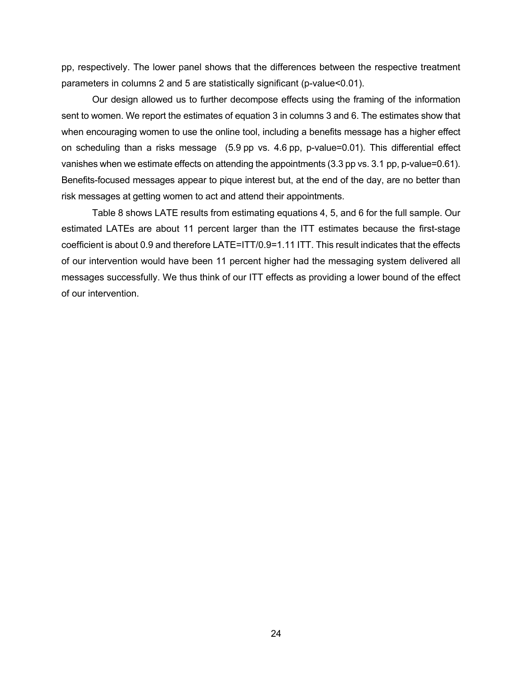pp, respectively. The lower panel shows that the differences between the respective treatment parameters in columns 2 and 5 are statistically significant (p-value<0.01).

Our design allowed us to further decompose effects using the framing of the information sent to women. We report the estimates of equation 3 in columns 3 and 6. The estimates show that when encouraging women to use the online tool, including a benefits message has a higher effect on scheduling than a risks message (5.9 pp vs. 4.6 pp, p-value=0.01). This differential effect vanishes when we estimate effects on attending the appointments (3.3 pp vs. 3.1 pp, p-value=0.61). Benefits-focused messages appear to pique interest but, at the end of the day, are no better than risk messages at getting women to act and attend their appointments.

Table 8 shows LATE results from estimating equations 4, 5, and 6 for the full sample. Our estimated LATEs are about 11 percent larger than the ITT estimates because the first-stage coefficient is about 0.9 and therefore LATE=ITT/0.9=1.11 ITT. This result indicates that the effects of our intervention would have been 11 percent higher had the messaging system delivered all messages successfully. We thus think of our ITT effects as providing a lower bound of the effect of our intervention.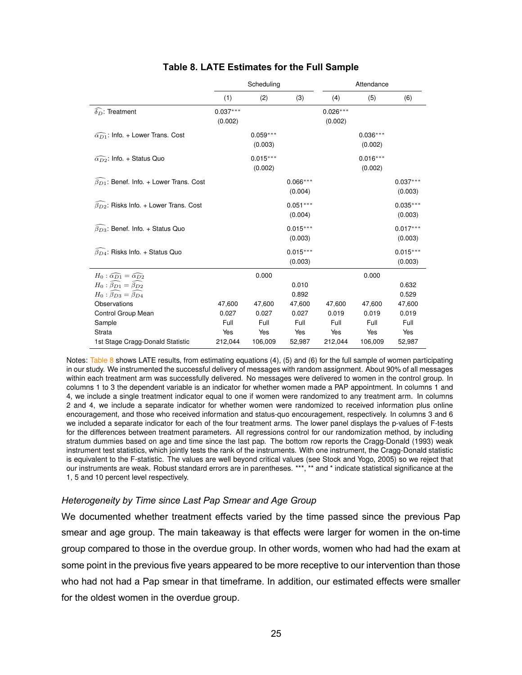|                                                           |                       | Scheduling            |                       | Attendance            |                       |                       |  |
|-----------------------------------------------------------|-----------------------|-----------------------|-----------------------|-----------------------|-----------------------|-----------------------|--|
|                                                           | (1)                   | (2)                   | (3)                   | (4)                   | (5)                   | (6)                   |  |
| $\delta_D$ : Treatment                                    | $0.037***$<br>(0.002) |                       |                       | $0.026***$<br>(0.002) |                       |                       |  |
| $\widehat{\alpha_{D1}}$ : Info. + Lower Trans. Cost       |                       | $0.059***$<br>(0.003) |                       |                       | $0.036***$<br>(0.002) |                       |  |
| $\widehat{\alpha_{D2}}$ : Info. + Status Quo              |                       | $0.015***$<br>(0.002) |                       |                       | $0.016***$<br>(0.002) |                       |  |
| $\widehat{\beta_{D1}}$ : Benef. Info. + Lower Trans. Cost |                       |                       | $0.066***$<br>(0.004) |                       |                       | $0.037***$<br>(0.003) |  |
| $\widehat{\beta_{D2}}$ : Risks Info. + Lower Trans. Cost  |                       |                       | $0.051***$<br>(0.004) |                       |                       | $0.035***$<br>(0.003) |  |
| $\widehat{\beta_{D3}}$ : Benef. Info. + Status Quo        |                       |                       | $0.015***$<br>(0.003) |                       |                       | $0.017***$<br>(0.003) |  |
| $\bar{\beta}_{D4}$ : Risks Info. + Status Quo             |                       |                       | $0.015***$<br>(0.003) |                       |                       | $0.015***$<br>(0.003) |  |
| $H_0: \widehat{\alpha_{D1}} = \widehat{\alpha_{D2}}$      |                       | 0.000                 |                       |                       | 0.000                 |                       |  |
| $H_0: \widehat{\beta_{D1}} = \widehat{\beta_{D2}}$        |                       |                       | 0.010                 |                       |                       | 0.632                 |  |
| $H_0: \widehat{\beta_{D3}} = \widehat{\beta_{D4}}$        |                       |                       | 0.892                 |                       |                       | 0.529                 |  |
| Observations                                              | 47,600                | 47,600                | 47,600                | 47,600                | 47,600                | 47,600                |  |
| Control Group Mean                                        | 0.027                 | 0.027                 | 0.027                 | 0.019                 | 0.019                 | 0.019                 |  |
| Sample                                                    | Full                  | Full                  | Full                  | Full                  | Full                  | Full                  |  |
| Strata                                                    | Yes                   | Yes                   | Yes                   | Yes                   | Yes                   | Yes                   |  |
| 1st Stage Cragg-Donald Statistic                          | 212,044               | 106,009               | 52,987                | 212,044               | 106,009               | 52,987                |  |

# **Table 8. LATE Estimates for the Full Sample Table 8:** LATE Estimates for the Full Sample

Notes: Table 8 shows LATE results, from estimating equations (4), (5) and (6) for the full sample of women participating in our study. We instrumented the successful delivery of messages with random assignment. About 90% of all messages within each treatment arm was successfully delivered. No messages were delivered to women in the control group. In columns 1 to 3 the dependent variable is an indicator for whether women made a PAP appointment. In columns 1 and 4, we include a single treatment indicator equal to one if women were randomized to any treatment arm. In columns 2 and 4, we include a separate indicator for whether women were randomized to received information plus online encouragement, and those who received information and status-quo encouragement, respectively. In columns 3 and 6 we included a separate indicator for each of the four treatment arms. The lower panel displays the p-values of F-tests for the differences between treatment parameters. All regressions control for our randomization method, by including stratum dummies based on age and time since the last pap. The bottom row reports the Cragg-Donald (1993) weak instrument test statistics, which jointly tests the rank of the instruments. With one instrument, the Cragg-Donald statistic is equivalent to the F-statistic. The values are well beyond critical values (see Stock and Yogo, 2005) so we reject that our instruments are weak. Robust standard errors are in parentheses. \*\*\*, \*\* and \* indicate statistical significance at the 1, 5 and 10 percent level respectively.

#### *Heterogeneity by Time since Last Pap Smear and Age Group*

We documented whether treatment effects varied by the time passed since the previous Pap smear and age group. The main takeaway is that effects were larger for women in the on-time group compared to those in the overdue group. In other words, women who had had the exam at some point in the previous five years appeared to be more receptive to our intervention than those who had not had a Pap smear in that timeframe. In addition, our estimated effects were smaller for the oldest women in the overdue group.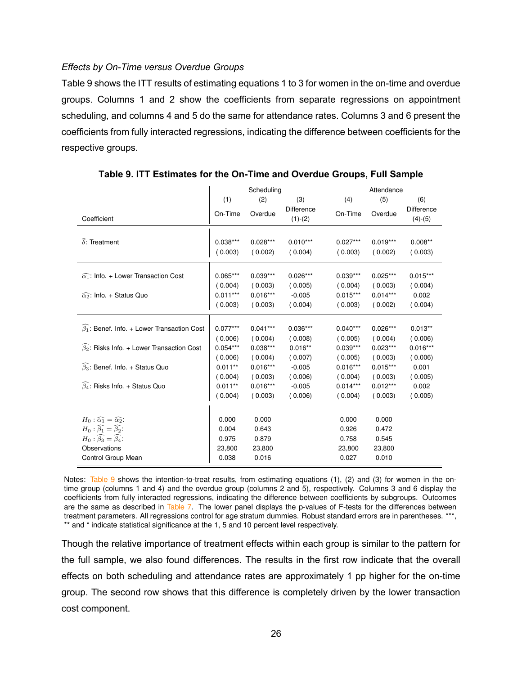## *Effects by On-Time versus Overdue Groups*

Table 9 shows the ITT results of estimating equations 1 to 3 for women in the on-time and overdue groups. Columns 1 and 2 show the coefficients from separate regressions on appointment scheduling, and columns 4 and 5 do the same for attendance rates. Columns 3 and 6 present the coefficients from fully interacted regressions, indicating the difference between coefficients for the respective groups.

|                                                             |                                     | Scheduling                          |                                   |                                     | Attendance                          |                                |  |  |
|-------------------------------------------------------------|-------------------------------------|-------------------------------------|-----------------------------------|-------------------------------------|-------------------------------------|--------------------------------|--|--|
|                                                             | (1)                                 | (2)                                 | (3)                               | (4)                                 | (5)                                 | (6)                            |  |  |
| Coefficient                                                 | On-Time                             | Overdue                             | Difference<br>$(1)-(2)$           | On-Time                             | Overdue                             | Difference<br>$(4)-(5)$        |  |  |
| $\delta$ : Treatment                                        | $0.038***$<br>(0.003)               | $0.028***$<br>(0.002)               | $0.010***$<br>(0.004)             | $0.027***$<br>(0.003)               | $0.019***$<br>(0.002)               | $0.008**$<br>(0.003)           |  |  |
| $\widehat{\alpha_1}$ : Info. + Lower Transaction Cost       | $0.065***$<br>(0.004)<br>$0.011***$ | $0.039***$<br>(0.003)<br>$0.016***$ | $0.026***$<br>(0.005)<br>$-0.005$ | $0.039***$<br>(0.004)<br>$0.015***$ | $0.025***$<br>(0.003)<br>$0.014***$ | $0.015***$<br>(0.004)<br>0.002 |  |  |
| $\widehat{\alpha_2}$ : Info. + Status Quo                   | (0.003)                             | (0.003)                             | (0.004)                           | (0.003)                             | (0.002)                             | (0.004)                        |  |  |
| $\widehat{\beta_1}$ : Benef. Info. + Lower Transaction Cost | $0.077***$                          | $0.041***$                          | $0.036***$                        | $0.040***$                          | $0.026***$                          | $0.013**$                      |  |  |
|                                                             | (0.006)                             | (0.004)                             | (0.008)                           | (0.005)                             | (0.004)                             | (0.006)                        |  |  |
| $\widehat{\beta_2}$ : Risks Info. + Lower Transaction Cost  | $0.054***$                          | $0.038***$                          | $0.016**$                         | $0.039***$                          | $0.023***$                          | $0.016***$                     |  |  |
| $\widehat{\beta_3}$ : Benef. Info. + Status Quo             | (0.006)<br>$0.011**$<br>(0.004)     | (0.004)<br>$0.016***$<br>(0.003)    | (0.007)<br>$-0.005$<br>(0.006)    | (0.005)<br>$0.016***$<br>(0.004)    | (0.003)<br>$0.015***$<br>(0.003)    | (0.006)<br>0.001<br>(0.005)    |  |  |
| $\widehat{\beta_4}$ : Risks Info. + Status Quo              | $0.011**$<br>(0.004)                | $0.016***$<br>(0.003)               | $-0.005$<br>(0.006)               | $0.014***$<br>(0.004)               | $0.012***$<br>(0.003)               | 0.002<br>(0.005)               |  |  |
|                                                             |                                     |                                     |                                   |                                     |                                     |                                |  |  |
| $H_0: \widehat{\alpha_1} = \widehat{\alpha_2}$ :            | 0.000                               | 0.000                               |                                   | 0.000                               | 0.000                               |                                |  |  |
| $H_0: \widehat{\beta_1} = \widehat{\beta_2}$ :              | 0.004                               | 0.643                               |                                   | 0.926                               | 0.472                               |                                |  |  |
| $H_0$ : $\widehat{\beta_3} = \widehat{\beta_4}$ :           | 0.975                               | 0.879                               |                                   | 0.758                               | 0.545                               |                                |  |  |
| Observations                                                | 23,800                              | 23,800                              |                                   | 23,800                              | 23,800                              |                                |  |  |
| Control Group Mean                                          | 0.038                               | 0.016                               |                                   | 0.027                               | 0.010                               |                                |  |  |

**Table 9. ITT Estimates for the On-Time and Overdue Groups, Full Sample Table 9:** ITT Estimates for the On-time and Overdue groups, Full Sample

Notes: Table 9 shows the intention-to-treat results, from estimating equations (1), (2) and (3) for women in the ontime group (columns 1 and 4) and the overdue group (columns 2 and 5), respectively. Columns 3 and 6 display the coefficients from fully interacted regressions, indicating the difference between coefficients by subgroups. Outcomes are the same as described in Table 7. The lower panel displays the p-values of F-tests for the differences between treatment parameters. All regressions control for age stratum dummies. Robust standard errors are in parentheses. \*\*\*, \*\* and \* indicate statistical significance at the 1, 5 and 10 percent level respectively.

Though the relative importance of treatment effects within each group is similar to the pattern for the full sample, we also found differences. The results in the first row indicate that the overall effects on both scheduling and attendance rates are approximately 1 pp higher for the on-time group. The second row shows that this difference is completely driven by the lower transaction cost component.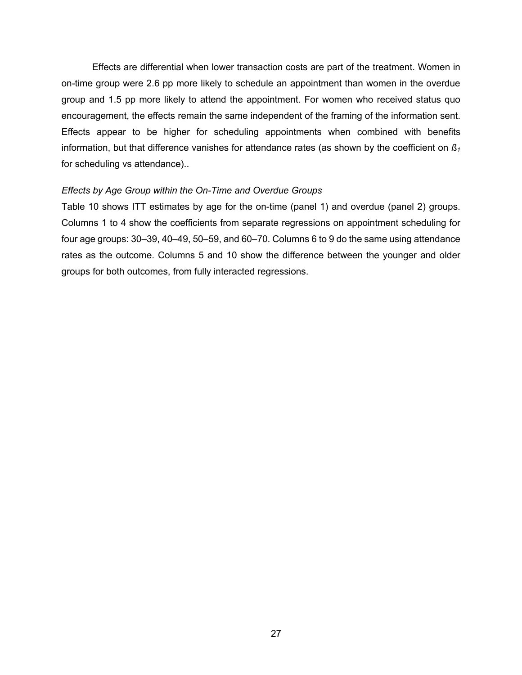Effects are differential when lower transaction costs are part of the treatment. Women in on-time group were 2.6 pp more likely to schedule an appointment than women in the overdue group and 1.5 pp more likely to attend the appointment. For women who received status quo encouragement, the effects remain the same independent of the framing of the information sent. Effects appear to be higher for scheduling appointments when combined with benefits information, but that difference vanishes for attendance rates (as shown by the coefficient on  $B_1$ ) for scheduling vs attendance)..

### *Effects by Age Group within the On-Time and Overdue Groups*

Table 10 shows ITT estimates by age for the on-time (panel 1) and overdue (panel 2) groups. Columns 1 to 4 show the coefficients from separate regressions on appointment scheduling for four age groups: 30–39, 40–49, 50–59, and 60–70. Columns 6 to 9 do the same using attendance rates as the outcome. Columns 5 and 10 show the difference between the younger and older groups for both outcomes, from fully interacted regressions.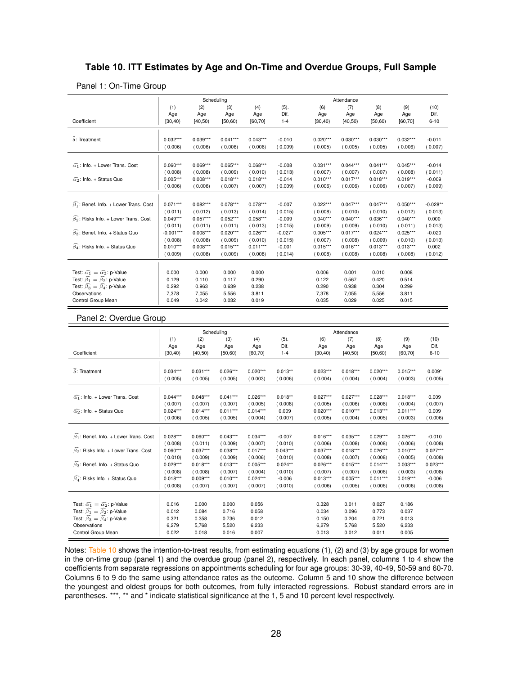# **Table 10. ITT Estimates by Age and On-Time and Overdue Groups, Full Sample Table 10:** ITT Estimates by Age and On-time and Overdue groups, Full Sample

|                                                           |             | Scheduling |            |            |           | Attendance |            |            |            |            |
|-----------------------------------------------------------|-------------|------------|------------|------------|-----------|------------|------------|------------|------------|------------|
|                                                           | (1)         | (2)        | (3)        | (4)        | (5).      | (6)        | (7)        | (8)        | (9)        | (10)       |
|                                                           | Age         | Age        | Age        | Age        | Dif.      | Age        | Age        | Age        | Age        | Dif.       |
| Coefficient                                               | [30, 40)    | [40, 50)   | [50, 60)   | [60, 70]   | $1 - 4$   | [30, 40)   | [40, 50)   | [50, 60)   | [60, 70]   | $6 - 10$   |
|                                                           |             |            |            |            |           |            |            |            |            |            |
| $\widehat{\delta}$ : Treatment                            | $0.032***$  | $0.039***$ | $0.041***$ | $0.043***$ | $-0.010$  | $0.020***$ | $0.030***$ | $0.030***$ | $0.032***$ | $-0.011$   |
|                                                           | (0.006)     | (0.006)    | (0.006)    | (0.006)    | (0.009)   | (0.005)    | (0.005)    | (0.005)    | (0.006)    | (0.007)    |
|                                                           |             |            |            |            |           |            |            |            |            |            |
| $\widehat{\alpha_1}$ : Info. + Lower Trans. Cost          | $0.060***$  | $0.069***$ | $0.065***$ | $0.068***$ | $-0.008$  | $0.031***$ | $0.044***$ | $0.041***$ | $0.045***$ | $-0.014$   |
|                                                           | (0.008)     | (0.008)    | (0.009)    | (0.010)    | (0.013)   | (0.007)    | (0.007)    | (0.007)    | (0.008)    | (0.011)    |
| $\widehat{\alpha_2}$ : Info. + Status Quo                 | $0.005***$  | $0.008***$ | $0.018***$ | $0.018***$ | $-0.014$  | $0.010***$ | $0.017***$ | $0.018***$ | $0.019***$ | $-0.009$   |
|                                                           | (0.006)     | (0.006)    | (0.007)    | (0.007)    | (0.009)   | (0.006)    | (0.006)    | (0.006)    | (0.007)    | (0.009)    |
|                                                           |             |            |            |            |           |            |            |            |            |            |
| $\widehat{\beta_1}$ : Benef. Info. + Lower Trans. Cost    | $0.071***$  | $0.082***$ | $0.078***$ | $0.078***$ | $-0.007$  | $0.022***$ | $0.047***$ | $0.047***$ | $0.050***$ | $-0.028**$ |
|                                                           | (0.011)     | (0.012)    | (0.013)    | (0.014)    | (0.015)   | (0.008)    | (0.010)    | (0.010)    | (0.012)    | (0.013)    |
| $\widehat{\beta_2}$ : Risks Info. + Lower Trans. Cost     | $0.049***$  | $0.057***$ | $0.052***$ | $0.058***$ | $-0.009$  | $0.040***$ | $0.040***$ | $0.036***$ | $0.040***$ | 0.000      |
|                                                           | (0.011)     | (0.011)    | (0.011)    | (0.013)    | (0.015)   | (0.009)    | (0.009)    | (0.010)    | (0.011)    | (0.013)    |
| $\widehat{\beta_3}$ : Benef. Info. + Status Quo           | $-0.001***$ | $0.008***$ | $0.020***$ | $0.026***$ | $-0.027*$ | $0.005***$ | $0.017***$ | $0.024***$ | $0.025***$ | $-0.020$   |
|                                                           | (0.008)     | (0.008)    | (0.009)    | (0.010)    | (0.015)   | (0.007)    | (0.008)    | (0.009)    | (0.010)    | (0.013)    |
| $\widehat{\beta_4}$ : Risks Info. + Status Quo            | $0.010***$  | $0.008***$ | $0.015***$ | $0.011***$ | $-0.001$  | $0.015***$ | $0.016***$ | $0.013***$ | $0.013***$ | 0.002      |
|                                                           | (0.009)     | (0.008)    | (0.009)    | (0.008)    | (0.014)   | (0.008)    | (0.008)    | (0.008)    | (0.008)    | (0.012)    |
|                                                           |             |            |            |            |           |            |            |            |            |            |
| Test: $\widehat{\alpha_1} = \widehat{\alpha_2}$ : p-Value | 0.000       | 0.000      | 0.000      | 0.000      |           | 0.006      | 0.001      | 0.010      | 0.008      |            |
| Test: $\widehat{\beta_1} = \widehat{\beta_2}$ : p-Value   | 0.129       | 0.110      | 0.117      | 0.290      |           | 0.122      | 0.567      | 0.420      | 0.514      |            |
| Test: $\widehat{\beta_3} = \widehat{\beta_4}$ : p-Value   | 0.292       | 0.963      | 0.639      | 0.238      |           | 0.290      | 0.938      | 0.304      | 0.299      |            |
| Observations                                              | 7,378       | 7,055      | 5,556      | 3,811      |           | 7,378      | 7,055      | 5,556      | 3,811      |            |
| Control Group Mean                                        | 0.049       | 0.042      | 0.032      | 0.019      |           | 0.035      | 0.029      | 0.025      | 0.015      |            |
|                                                           |             |            |            |            |           |            |            |            |            |            |

#### Panel 1: On-Time Group

#### Panel 2: Overdue Group

|                                                           | Scheduling |            |            |            |            | Attendance |            |            |            |            |
|-----------------------------------------------------------|------------|------------|------------|------------|------------|------------|------------|------------|------------|------------|
|                                                           | (1)        | (2)        | (3)        | (4)        | (5).       | (6)        | (7)        | (8)        | (9)        | (10)       |
|                                                           | Age        | Age        | Age        | Age        | Dif.       | Age        | Age        | Age        | Age        | Dif.       |
| Coefficient                                               | [30, 40)   | [40, 50)   | [50, 60)   | [60, 70]   | $1 - 4$    | (30, 40)   | [40, 50)   | [50, 60)   | [60, 70]   | $6 - 10$   |
|                                                           |            |            |            |            |            |            |            |            |            |            |
| $\widehat{\delta}$ : Treatment                            | $0.034***$ | $0.031***$ | $0.026***$ | $0.020***$ | $0.013**$  | $0.023***$ | $0.018***$ | $0.020***$ | $0.015***$ | $0.009*$   |
|                                                           | (0.005)    | (0.005)    | (0.005)    | (0.003)    | (0.006)    | (0.004)    | (0.004)    | (0.004)    | (0.003)    | (0.005)    |
|                                                           |            |            |            |            |            |            |            |            |            |            |
|                                                           |            |            |            |            |            |            |            |            |            |            |
| $\widehat{\alpha_1}$ : Info. + Lower Trans. Cost          | $0.044***$ | $0.048***$ | $0.041***$ | $0.026***$ | $0.018**$  | $0.027***$ | $0.027***$ | $0.028***$ | $0.018***$ | 0.009      |
|                                                           | (0.007)    | (0.007)    | (0.007)    | (0.005)    | (0.008)    | (0.005)    | (0.006)    | (0.006)    | (0.004)    | (0.007)    |
| $\widehat{\alpha_2}$ : Info. + Status Quo                 | $0.024***$ | $0.014***$ | $0.011***$ | $0.014***$ | 0.009      | $0.020***$ | $0.010***$ | $0.013***$ | $0.011***$ | 0.009      |
|                                                           | (0.006)    | (0.005)    | (0.005)    | (0.004)    | (0.007)    | (0.005)    | (0.004)    | (0.005)    | (0.003)    | (0.006)    |
|                                                           |            |            |            |            |            |            |            |            |            |            |
| $\beta_1$ : Benef. Info. + Lower Trans. Cost              | $0.028***$ | $0.060***$ | $0.043***$ | $0.034***$ | $-0.007$   | $0.016***$ | $0.035***$ | $0.029***$ | $0.026***$ | $-0.010$   |
|                                                           | (0.008)    | (0.011)    | (0.009)    | (0.007)    | (0.010)    | (0.006)    | (0.008)    | (0.008)    | (0.006)    | (0.008)    |
| $\widehat{\beta_2}$ : Risks Info. + Lower Trans. Cost     | $0.060***$ | $0.037***$ | $0.038***$ | $0.017***$ | $0.043***$ | $0.037***$ | $0.018***$ | $0.026***$ | $0.010***$ | $0.027***$ |
|                                                           | (0.010)    | (0.009)    | (0.009)    | (0.006)    | (0.010)    | (0.008)    | (0.007)    | (0.008)    | (0.005)    | (0.008)    |
| $\widehat{\beta_3}$ : Benef. Info. + Status Quo           | $0.029***$ | $0.018***$ | $0.013***$ | $0.005***$ | $0.024**$  | $0.026***$ | $0.015***$ | $0.014***$ | $0.003***$ | $0.023***$ |
|                                                           | (0.008)    | (0.008)    | (0.007)    | (0.004)    | (0.010)    | (0.007)    | (0.007)    | (0.006)    | (0.003)    | (0.008)    |
| $\widehat{\beta_4}$ : Risks Info. + Status Quo            | $0.018***$ | $0.009***$ | $0.010***$ | $0.024***$ | $-0.006$   | $0.013***$ | $0.005***$ | $0.011***$ | $0.019***$ | $-0.006$   |
|                                                           | (0.008)    | (0.007)    | (0.007)    | (0.007)    | (0.010)    | (0.006)    | (0.005)    | (0.006)    | (0.006)    | (0.008)    |
|                                                           |            |            |            |            |            |            |            |            |            |            |
| Test: $\widehat{\alpha_1} = \widehat{\alpha_2}$ : p-Value | 0.016      | 0.000      | 0.000      | 0.056      |            | 0.328      | 0.011      | 0.027      | 0.186      |            |
| Test: $\widehat{\beta_1} = \widehat{\beta_2}$ : p-Value   | 0.012      | 0.084      | 0.716      | 0.058      |            | 0.034      | 0.096      | 0.773      | 0.037      |            |
| Test: $\widehat{\beta_3} = \widehat{\beta_4}$ : p-Value   | 0.321      | 0.358      | 0.736      | 0.012      |            | 0.150      | 0.204      | 0.721      | 0.013      |            |
| Observations                                              | 6,279      | 5,768      | 5,520      | 6,233      |            | 6,279      | 5,768      | 5,520      | 6,233      |            |
| Control Group Mean                                        | 0.022      | 0.018      | 0.016      | 0.007      |            | 0.013      | 0.012      | 0.011      | 0.005      |            |
|                                                           |            |            |            |            |            |            |            |            |            |            |

Notes: Table 10 shows the intention-to-treat results, from estimating equations (1), (2) and (3) by age groups for women in the on-time group (panel 1) and the overdue group (panel 2), respectively. In each panel, columns 1 to 4 show the coefficients from separate regressions on appointments scheduling for four age groups: 30-39, 40-49, 50-59 and 60-70. Columns 6 to 9 do the same using attendance rates as the outcome. Column 5 and 10 show the difference between the youngest and oldest groups for both outcomes, from fully interacted regressions. Robust standard errors are in parentheses. \*\*\*, \*\* and \* indicate statistical significance at the 1, 5 and 10 percent level respectively.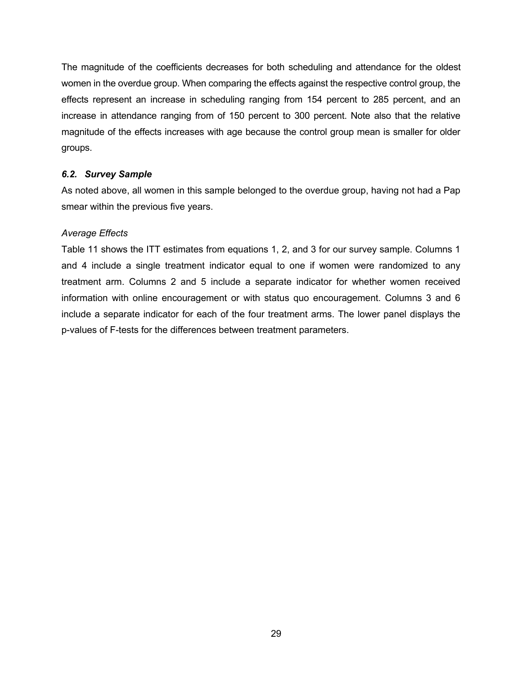The magnitude of the coefficients decreases for both scheduling and attendance for the oldest women in the overdue group. When comparing the effects against the respective control group, the effects represent an increase in scheduling ranging from 154 percent to 285 percent, and an increase in attendance ranging from of 150 percent to 300 percent. Note also that the relative magnitude of the effects increases with age because the control group mean is smaller for older groups.

# *6.2. Survey Sample*

As noted above, all women in this sample belonged to the overdue group, having not had a Pap smear within the previous five years.

# *Average Effects*

Table 11 shows the ITT estimates from equations 1, 2, and 3 for our survey sample. Columns 1 and 4 include a single treatment indicator equal to one if women were randomized to any treatment arm. Columns 2 and 5 include a separate indicator for whether women received information with online encouragement or with status quo encouragement. Columns 3 and 6 include a separate indicator for each of the four treatment arms. The lower panel displays the p-values of F-tests for the differences between treatment parameters.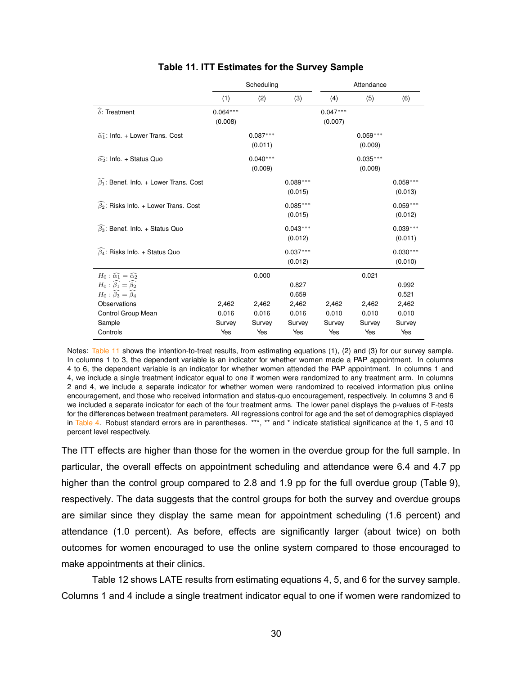|                                                                                                 |                       | Scheduling            |                       | Attendance            |                       |                       |  |
|-------------------------------------------------------------------------------------------------|-----------------------|-----------------------|-----------------------|-----------------------|-----------------------|-----------------------|--|
|                                                                                                 | (1)                   | (2)                   | (3)                   | (4)                   | (5)                   | (6)                   |  |
| $\widehat{\delta}$ : Treatment                                                                  | $0.064***$<br>(0.008) |                       |                       | $0.047***$<br>(0.007) |                       |                       |  |
| $\widehat{\alpha_1}$ : Info. + Lower Trans. Cost                                                |                       | $0.087***$<br>(0.011) |                       |                       | $0.059***$<br>(0.009) |                       |  |
| $\widehat{\alpha_2}$ : Info. + Status Quo                                                       |                       | $0.040***$<br>(0.009) |                       |                       | $0.035***$<br>(0.008) |                       |  |
| $\widehat{\beta_1}$ : Benef. Info. + Lower Trans. Cost                                          |                       |                       | $0.089***$<br>(0.015) |                       |                       | $0.059***$<br>(0.013) |  |
| $\widehat{\beta_2}$ : Risks Info. + Lower Trans. Cost                                           |                       |                       | $0.085***$<br>(0.015) |                       |                       | $0.059***$<br>(0.012) |  |
| $\widehat{\beta_3}$ : Benef. Info. + Status Quo                                                 |                       |                       | $0.043***$<br>(0.012) |                       |                       | $0.039***$<br>(0.011) |  |
| $\widehat{\beta_4}$ : Risks Info. + Status Quo                                                  |                       |                       | $0.037***$<br>(0.012) |                       |                       | $0.030***$<br>(0.010) |  |
| $H_0: \widehat{\alpha_1} = \widehat{\alpha_2}$                                                  |                       | 0.000                 |                       |                       | 0.021                 |                       |  |
| $H_0: \widehat{\beta_1} = \widehat{\beta_2}$<br>$H_0$ : $\widehat{\beta_3} = \widehat{\beta_4}$ |                       |                       | 0.827<br>0.659        |                       |                       | 0.992<br>0.521        |  |
| Observations                                                                                    | 2,462                 | 2,462                 | 2,462                 | 2,462                 | 2,462                 | 2,462                 |  |
| Control Group Mean                                                                              | 0.016                 | 0.016                 | 0.016                 | 0.010                 | 0.010                 | 0.010                 |  |
| Sample                                                                                          | Survey                | Survey                | Survey                | Survey                | Survey                | Survey                |  |
| Controls                                                                                        | Yes                   | Yes                   | Yes                   | Yes                   | Yes                   | Yes                   |  |

# **Table 11. ITT Estimates for the Survey Sample Table 11:** ITT Estimates for the Survey Sample

Notes: Table 11 shows the intention-to-treat results, from estimating equations (1), (2) and (3) for our survey sample. In columns 1 to 3, the dependent variable is an indicator for whether women made a PAP appointment. In columns 4 to 6, the dependent variable is an indicator for whether women attended the PAP appointment. In columns 1 and 4, we include a single treatment indicator equal to one if women were randomized to any treatment arm. In columns 2 and 4, we include a separate indicator for whether women were randomized to received information plus online encouragement, and those who received information and status-quo encouragement, respectively. In columns 3 and 6 we included a separate indicator for each of the four treatment arms. The lower panel displays the p-values of F-tests for the differences between treatment parameters. All regressions control for age and the set of demographics displayed in Table 4. Robust standard errors are in parentheses. \*\*\*, \*\* and \* indicate statistical significance at the 1, 5 and 10 percent level respectively.

The ITT effects are higher than those for the women in the overdue group for the full sample. In particular, the overall effects on appointment scheduling and attendance were 6.4 and 4.7 pp higher than the control group compared to 2.8 and 1.9 pp for the full overdue group (Table 9), respectively. The data suggests that the control groups for both the survey and overdue groups are similar since they display the same mean for appointment scheduling (1.6 percent) and attendance (1.0 percent). As before, effects are significantly larger (about twice) on both outcomes for women encouraged to use the online system compared to those encouraged to make appointments at their clinics.

Table 12 shows LATE results from estimating equations 4, 5, and 6 for the survey sample. Columns 1 and 4 include a single treatment indicator equal to one if women were randomized to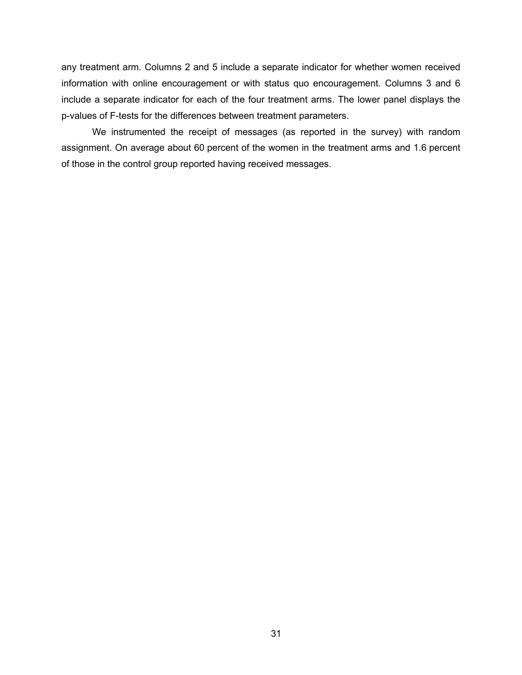any treatment arm. Columns 2 and 5 include a separate indicator for whether women received information with online encouragement or with status quo encouragement. Columns 3 and 6 include a separate indicator for each of the four treatment arms. The lower panel displays the p-values of F-tests for the differences between treatment parameters.

We instrumented the receipt of messages (as reported in the survey) with random assignment. On average about 60 percent of the women in the treatment arms and 1.6 percent of those in the control group reported having received messages.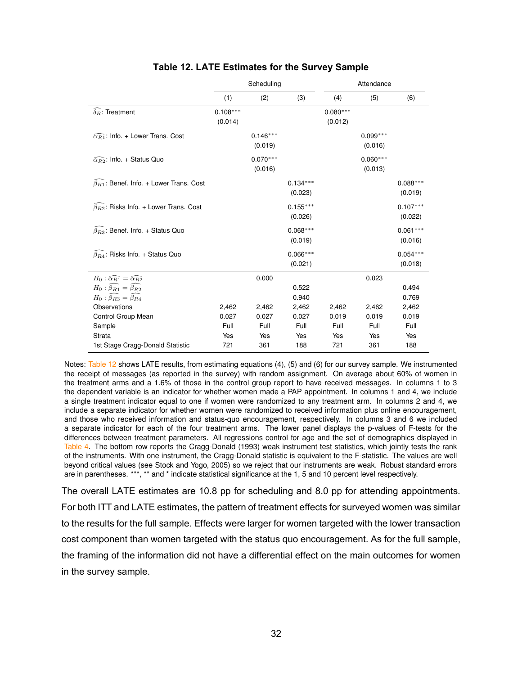|                                                           |                       | Scheduling            |                       | Attendance            |                       |                       |
|-----------------------------------------------------------|-----------------------|-----------------------|-----------------------|-----------------------|-----------------------|-----------------------|
|                                                           | (1)                   | (2)                   | (3)                   | (4)                   | (5)                   | (6)                   |
| $\widehat{\delta_R}$ : Treatment                          | $0.108***$<br>(0.014) |                       |                       | $0.080***$<br>(0.012) |                       |                       |
| $\widehat{\alpha_{R1}}$ : Info. + Lower Trans. Cost       |                       | $0.146***$<br>(0.019) |                       |                       | $0.099***$<br>(0.016) |                       |
| $\widehat{\alpha_{R2}}$ : Info. + Status Quo              |                       | $0.070***$<br>(0.016) |                       |                       | $0.060***$<br>(0.013) |                       |
| $\widehat{\beta_{R1}}$ : Benef. Info. + Lower Trans. Cost |                       |                       | $0.134***$<br>(0.023) |                       |                       | $0.088***$<br>(0.019) |
| $\widehat{\beta}_{R2}$ : Risks Info. + Lower Trans. Cost  |                       |                       | $0.155***$<br>(0.026) |                       |                       | $0.107***$<br>(0.022) |
| $\widehat{\beta_{R3}}$ : Benef. Info. + Status Quo        |                       |                       | $0.068***$<br>(0.019) |                       |                       | $0.061***$<br>(0.016) |
| $\widehat{\beta_{R4}}$ : Risks Info. + Status Quo         |                       |                       | $0.066***$<br>(0.021) |                       |                       | $0.054***$<br>(0.018) |
| $H_0: \widehat{\alpha_{R1}} = \widehat{\alpha_{R2}}$      |                       | 0.000                 |                       |                       | 0.023                 |                       |
| $H_0: \widehat{\beta_{R1}} = \widehat{\beta_{R2}}$        |                       |                       | 0.522                 |                       |                       | 0.494                 |
| $H_0$ : $\beta_{R3} = \beta_{R4}$                         |                       |                       | 0.940                 |                       |                       | 0.769                 |
| Observations                                              | 2,462                 | 2,462                 | 2,462                 | 2,462                 | 2,462                 | 2,462                 |
| Control Group Mean                                        | 0.027                 | 0.027                 | 0.027                 | 0.019                 | 0.019                 | 0.019                 |
| Sample                                                    | Full                  | Full                  | Full                  | Full                  | Full                  | Full                  |
| Strata                                                    | Yes                   | Yes                   | Yes                   | Yes                   | Yes                   | Yes                   |
| 1st Stage Cragg-Donald Statistic                          | 721                   | 361                   | 188                   | 721                   | 361                   | 188                   |

# **Table 12. LATE Estimates for the Survey Sample Table 12:** LATE Estimates for the Survey Sample

Notes: Table 12 shows LATE results, from estimating equations (4), (5) and (6) for our survey sample. We instrumented the receipt of messages (as reported in the survey) with random assignment. On average about 60% of women in the treatment arms and a 1.6% of those in the control group report to have received messages. In columns 1 to 3 the dependent variable is an indicator for whether women made a PAP appointment. In columns 1 and 4, we include a single treatment indicator equal to one if women were randomized to any treatment arm. In columns 2 and 4, we include a separate indicator for whether women were randomized to received information plus online encouragement, and those who received information and status-quo encouragement, respectively. In columns 3 and 6 we included a separate indicator for each of the four treatment arms. The lower panel displays the p-values of F-tests for the differences between treatment parameters. All regressions control for age and the set of demographics displayed in Table 4. The bottom row reports the Cragg-Donald (1993) weak instrument test statistics, which jointly tests the rank of the instruments. With one instrument, the Cragg-Donald statistic is equivalent to the F-statistic. The values are well beyond critical values (see Stock and Yogo, 2005) so we reject that our instruments are weak. Robust standard errors are in parentheses. \*\*\*, \*\* and \* indicate statistical significance at the 1, 5 and 10 percent level respectively.

The overall LATE estimates are 10.8 pp for scheduling and 8.0 pp for attending appointments. For both ITT and LATE estimates, the pattern of treatment effects for surveyed women was similar to the results for the full sample. Effects were larger for women targeted with the lower transaction cost component than women targeted with the status quo encouragement. As for the full sample, the framing of the information did not have a differential effect on the main outcomes for women in the survey sample.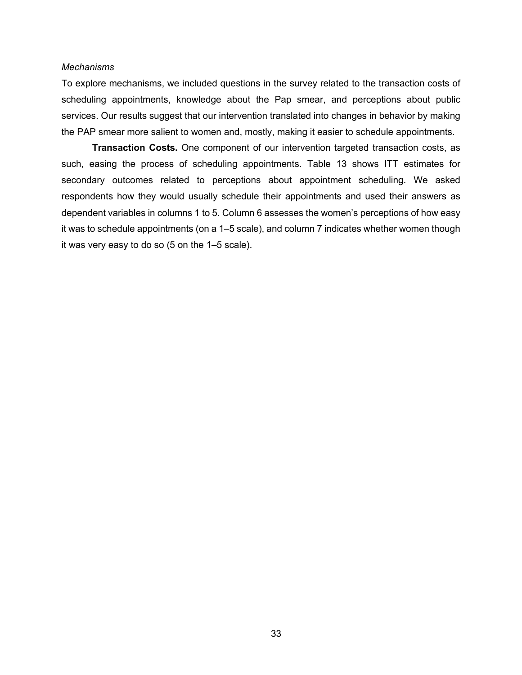#### *Mechanisms*

To explore mechanisms, we included questions in the survey related to the transaction costs of scheduling appointments, knowledge about the Pap smear, and perceptions about public services. Our results suggest that our intervention translated into changes in behavior by making the PAP smear more salient to women and, mostly, making it easier to schedule appointments.

**Transaction Costs.** One component of our intervention targeted transaction costs, as such, easing the process of scheduling appointments. Table 13 shows ITT estimates for secondary outcomes related to perceptions about appointment scheduling. We asked respondents how they would usually schedule their appointments and used their answers as dependent variables in columns 1 to 5. Column 6 assesses the women's perceptions of how easy it was to schedule appointments (on a 1–5 scale), and column 7 indicates whether women though it was very easy to do so (5 on the 1–5 scale).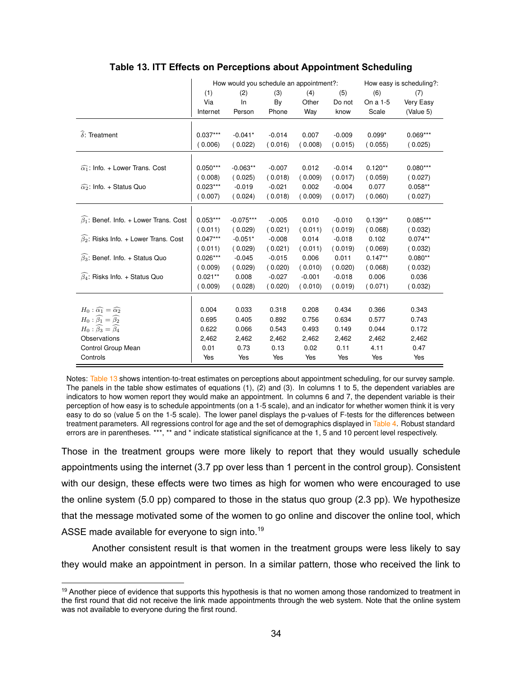|                                                        |            | How would you schedule an appointment?: |          |          |          | How easy is scheduling?: |            |  |
|--------------------------------------------------------|------------|-----------------------------------------|----------|----------|----------|--------------------------|------------|--|
|                                                        | (1)        | (2)                                     | (3)      | (4)      | (5)      | (6)                      | (7)        |  |
|                                                        | Via        | In                                      | By       | Other    | Do not   | On a 1-5                 | Very Easy  |  |
|                                                        | Internet   | Person                                  | Phone    | Way      | know     | Scale                    | (Value 5)  |  |
|                                                        |            |                                         |          |          |          |                          |            |  |
| $\widehat{\delta}$ : Treatment                         | $0.037***$ | $-0.041*$                               | $-0.014$ | 0.007    | $-0.009$ | $0.099*$                 | $0.069***$ |  |
|                                                        | (0.006)    | (0.022)                                 | (0.016)  | (0.008)  | (0.015)  | (0.055)                  | (0.025)    |  |
|                                                        |            |                                         |          |          |          |                          |            |  |
| $\widehat{\alpha_1}$ : Info. + Lower Trans. Cost       | $0.050***$ | $-0.063**$                              | $-0.007$ | 0.012    | $-0.014$ | $0.120**$                | $0.080***$ |  |
|                                                        | (0.008)    | (0.025)                                 | (0.018)  | (0.009)  | (0.017)  | (0.059)                  | (0.027)    |  |
| $\widehat{\alpha_2}$ : Info. + Status Quo              | $0.023***$ | $-0.019$                                | $-0.021$ | 0.002    | $-0.004$ | 0.077                    | $0.058**$  |  |
|                                                        | (0.007)    | (0.024)                                 | (0.018)  | (0.009)  | (0.017)  | (0.060)                  | (0.027)    |  |
|                                                        |            |                                         |          |          |          |                          |            |  |
| $\widehat{\beta_1}$ : Benef. Info. + Lower Trans. Cost | $0.053***$ | $-0.075***$                             | $-0.005$ | 0.010    | $-0.010$ | $0.139**$                | $0.085***$ |  |
|                                                        | (0.011)    | (0.029)                                 | (0.021)  | (0.011)  | (0.019)  | (0.068)                  | (0.032)    |  |
| $\widehat{\beta_2}$ : Risks Info. + Lower Trans. Cost  | $0.047***$ | $-0.051*$                               | $-0.008$ | 0.014    | $-0.018$ | 0.102                    | $0.074**$  |  |
|                                                        | (0.011)    | (0.029)                                 | (0.021)  | (0.011)  | (0.019)  | (0.069)                  | (0.032)    |  |
| $\widehat{\beta_3}$ : Benef. Info. + Status Quo        | $0.026***$ | $-0.045$                                | $-0.015$ | 0.006    | 0.011    | $0.147**$                | $0.080**$  |  |
|                                                        | (0.009)    | (0.029)                                 | (0.020)  | (0.010)  | (0.020)  | (0.068)                  | (0.032)    |  |
| $\widehat{\beta_4}$ : Risks Info. + Status Quo         | $0.021***$ | 0.008                                   | $-0.027$ | $-0.001$ | $-0.018$ | 0.006                    | 0.036      |  |
|                                                        | (0.009)    | (0.028)                                 | (0.020)  | (0.010)  | (0.019)  | (0.071)                  | 0.032)     |  |
|                                                        |            |                                         |          |          |          |                          |            |  |
| $H_0: \widehat{\alpha_1} = \widehat{\alpha_2}$         | 0.004      | 0.033                                   | 0.318    | 0.208    | 0.434    | 0.366                    | 0.343      |  |
| $H_0: \widehat{\beta_1} = \widehat{\beta_2}$           | 0.695      | 0.405                                   | 0.892    | 0.756    | 0.634    | 0.577                    | 0.743      |  |
| $H_0$ : $\beta_3 = \beta_4$                            | 0.622      | 0.066                                   | 0.543    | 0.493    | 0.149    | 0.044                    | 0.172      |  |
| Observations                                           | 2,462      | 2,462                                   | 2,462    | 2,462    | 2,462    | 2,462                    | 2,462      |  |
| Control Group Mean                                     | 0.01       | 0.73                                    | 0.13     | 0.02     | 0.11     | 4.11                     | 0.47       |  |
| Controls                                               | Yes        | Yes                                     | Yes      | Yes      | Yes      | Yes                      | Yes        |  |

# **Table 13. ITT Effects on Perceptions about Appointment Scheduling Table 13:** ITT Effects on Perceptions about Appointment Scheduling

Notes: Table 13 shows intention-to-treat estimates on perceptions about appointment scheduling, for our survey sample. The panels in the table show estimates of equations (1), (2) and (3). In columns 1 to 5, the dependent variables are indicators to how women report they would make an appointment. In columns 6 and 7, the dependent variable is their perception of how easy is to schedule appointments (on a 1-5 scale), and an indicator for whether women think it is very easy to do so (value 5 on the 1-5 scale). The lower panel displays the p-values of F-tests for the differences between treatment parameters. All regressions control for age and the set of demographics displayed in Table 4. Robust standard errors are in parentheses. \*\*\*, \*\* and \* indicate statistical significance at the 1, 5 and 10 percent level respectively.

Those in the treatment groups were more likely to report that they would usually schedule appointments using the internet (3.7 pp over less than 1 percent in the control group). Consistent with our design, these effects were two times as high for women who were encouraged to use the online system (5.0 pp) compared to those in the status quo group (2.3 pp). We hypothesize that the message motivated some of the women to go online and discover the online tool, which ASSE made available for everyone to sign into.<sup>19</sup>

Another consistent result is that women in the treatment groups were less likely to say they would make an appointment in person. In a similar pattern, those who received the link to

<sup>&</sup>lt;sup>19</sup> Another piece of evidence that supports this hypothesis is that no women among those randomized to treatment in the first round that did not receive the link made appointments through the web system. Note that the online system was not available to everyone during the first round.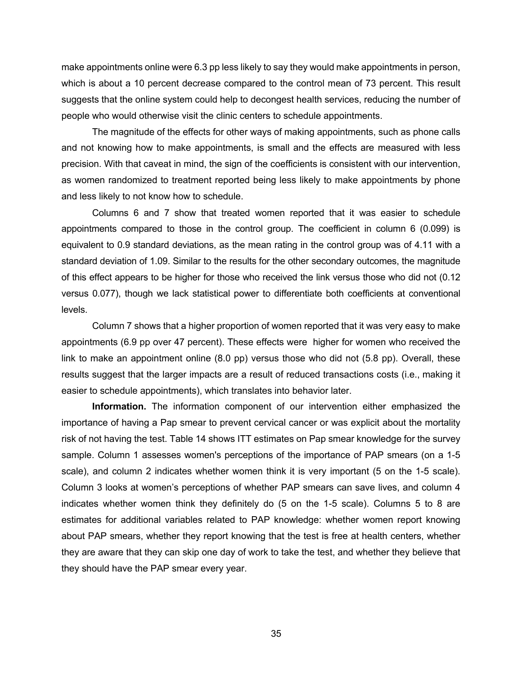make appointments online were 6.3 pp less likely to say they would make appointments in person, which is about a 10 percent decrease compared to the control mean of 73 percent. This result suggests that the online system could help to decongest health services, reducing the number of people who would otherwise visit the clinic centers to schedule appointments.

The magnitude of the effects for other ways of making appointments, such as phone calls and not knowing how to make appointments, is small and the effects are measured with less precision. With that caveat in mind, the sign of the coefficients is consistent with our intervention, as women randomized to treatment reported being less likely to make appointments by phone and less likely to not know how to schedule.

Columns 6 and 7 show that treated women reported that it was easier to schedule appointments compared to those in the control group. The coefficient in column 6 (0.099) is equivalent to 0.9 standard deviations, as the mean rating in the control group was of 4.11 with a standard deviation of 1.09. Similar to the results for the other secondary outcomes, the magnitude of this effect appears to be higher for those who received the link versus those who did not (0.12 versus 0.077), though we lack statistical power to differentiate both coefficients at conventional levels.

Column 7 shows that a higher proportion of women reported that it was very easy to make appointments (6.9 pp over 47 percent). These effects were higher for women who received the link to make an appointment online (8.0 pp) versus those who did not (5.8 pp). Overall, these results suggest that the larger impacts are a result of reduced transactions costs (i.e., making it easier to schedule appointments), which translates into behavior later.

**Information.** The information component of our intervention either emphasized the importance of having a Pap smear to prevent cervical cancer or was explicit about the mortality risk of not having the test. Table 14 shows ITT estimates on Pap smear knowledge for the survey sample. Column 1 assesses women's perceptions of the importance of PAP smears (on a 1-5 scale), and column 2 indicates whether women think it is very important (5 on the 1-5 scale). Column 3 looks at women's perceptions of whether PAP smears can save lives, and column 4 indicates whether women think they definitely do (5 on the 1-5 scale). Columns 5 to 8 are estimates for additional variables related to PAP knowledge: whether women report knowing about PAP smears, whether they report knowing that the test is free at health centers, whether they are aware that they can skip one day of work to take the test, and whether they believe that they should have the PAP smear every year.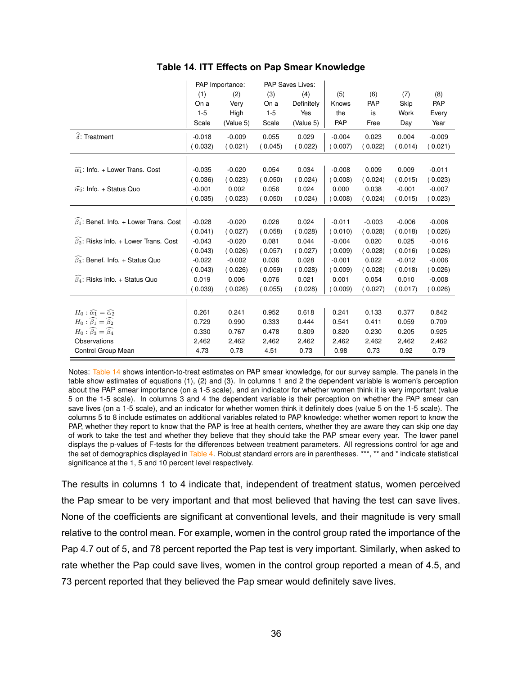|                                                        |          | PAP Importance: |         | PAP Saves Lives: |          |            |          |          |
|--------------------------------------------------------|----------|-----------------|---------|------------------|----------|------------|----------|----------|
|                                                        | (1)      | (2)             | (3)     | (4)              | (5)      | (6)        | (7)      | (8)      |
|                                                        | On a     | Very            | On a    | Definitely       | Knows    | <b>PAP</b> | Skip     | PAP      |
|                                                        | $1 - 5$  | High            | $1 - 5$ | Yes              | the      | is         | Work     | Every    |
|                                                        | Scale    | (Value 5)       | Scale   | (Value 5)        | PAP      | Free       | Day      | Year     |
| $\widehat{\delta}$ : Treatment                         | $-0.018$ | $-0.009$        | 0.055   | 0.029            | $-0.004$ | 0.023      | 0.004    | $-0.009$ |
|                                                        | (0.032)  | (0.021)         | (0.045) | (0.022)          | (0.007)  | (0.022)    | (0.014)  | (0.021)  |
|                                                        |          |                 |         |                  |          |            |          |          |
| $\widehat{\alpha_1}$ : Info. + Lower Trans. Cost       | $-0.035$ | $-0.020$        | 0.054   | 0.034            | $-0.008$ | 0.009      | 0.009    | $-0.011$ |
|                                                        | (0.036)  | (0.023)         | (0.050) | (0.024)          | (0.008)  | (0.024)    | (0.015)  | (0.023)  |
| $\widehat{\alpha_2}$ : Info. + Status Quo              | $-0.001$ | 0.002           | 0.056   | 0.024            | 0.000    | 0.038      | $-0.001$ | $-0.007$ |
|                                                        | (0.035)  | (0.023)         | (0.050) | (0.024)          | (0.008)  | (0.024)    | (0.015)  | (0.023)  |
|                                                        |          |                 |         |                  |          |            |          |          |
| $\widehat{\beta_1}$ : Benef. Info. + Lower Trans. Cost | $-0.028$ | $-0.020$        | 0.026   | 0.024            | $-0.011$ | $-0.003$   | $-0.006$ | $-0.006$ |
|                                                        | (0.041)  | (0.027)         | (0.058) | (0.028)          | (0.010)  | (0.028)    | (0.018)  | (0.026)  |
| $\widehat{\beta_2}$ : Risks Info. + Lower Trans. Cost  | $-0.043$ | $-0.020$        | 0.081   | 0.044            | $-0.004$ | 0.020      | 0.025    | $-0.016$ |
|                                                        | (0.043)  | (0.026)         | (0.057) | (0.027)          | (0.009)  | (0.028)    | (0.016)  | (0.026)  |
| $\widehat{\beta_3}$ : Benef. Info. + Status Quo        | $-0.022$ | $-0.002$        | 0.036   | 0.028            | $-0.001$ | 0.022      | $-0.012$ | $-0.006$ |
|                                                        | (0.043)  | (0.026)         | (0.059) | (0.028)          | (0.009)  | (0.028)    | (0.018)  | (0.026)  |
| $\widehat{\beta_4}$ : Risks Info. + Status Quo         | 0.019    | 0.006           | 0.076   | 0.021            | 0.001    | 0.054      | 0.010    | $-0.008$ |
|                                                        | (0.039)  | (0.026)         | (0.055) | (0.028)          | (0.009)  | (0.027)    | (0.017)  | (0.026)  |
|                                                        |          |                 |         |                  |          |            |          |          |
| $H_0: \widehat{\alpha_1} = \widehat{\alpha_2}$         | 0.261    | 0.241           | 0.952   | 0.618            | 0.241    | 0.133      | 0.377    | 0.842    |
| $H_0: \widehat{\beta_1} = \widehat{\beta_2}$           | 0.729    | 0.990           | 0.333   | 0.444            | 0.541    | 0.411      | 0.059    | 0.709    |
| $H_0$ : $\beta_3 = \beta_4$                            | 0.330    | 0.767           | 0.478   | 0.809            | 0.820    | 0.230      | 0.205    | 0.925    |
| Observations                                           | 2,462    | 2,462           | 2,462   | 2,462            | 2,462    | 2,462      | 2,462    | 2,462    |
| Control Group Mean                                     | 4.73     | 0.78            | 4.51    | 0.73             | 0.98     | 0.73       | 0.92     | 0.79     |

Notes: Table 14 shows intention-to-treat estimates on PAP smear knowledge, for our survey sample. The panels in the table show estimates of equations (1), (2) and (3). In columns 1 and 2 the dependent variable is women's perception about the PAP smear importance (on a 1-5 scale), and an indicator for whether women think it is very important (value 5 on the 1-5 scale). In columns 3 and 4 the dependent variable is their perception on whether the PAP smear can save lives (on a 1-5 scale), and an indicator for whether women think it definitely does (value 5 on the 1-5 scale). The columns 5 to 8 include estimates on additional variables related to PAP knowledge: whether women report to know the PAP, whether they report to know that the PAP is free at health centers, whether they are aware they can skip one day of work to take the test and whether they believe that they should take the PAP smear every year. The lower panel displays the p-values of F-tests for the differences between treatment parameters. All regressions control for age and the set of demographics displayed in Table 4. Robust standard errors are in parentheses. \*\*\*, \*\* and \* indicate statistical significance at the 1, 5 and 10 percent level respectively.

The results in columns 1 to 4 indicate that, independent of treatment status, women perceived the Pap smear to be very important and that most believed that having the test can save lives. None of the coefficients are significant at conventional levels, and their magnitude is very small relative to the control mean. For example, women in the control group rated the importance of the Pap 4.7 out of 5, and 78 percent reported the Pap test is very important. Similarly, when asked to rate whether the Pap could save lives, women in the control group reported a mean of 4.5, and 73 percent reported that they believed the Pap smear would definitely save lives.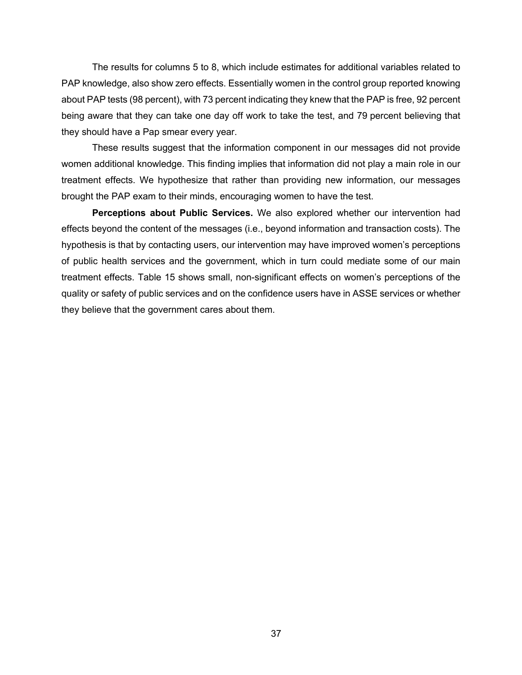The results for columns 5 to 8, which include estimates for additional variables related to PAP knowledge, also show zero effects. Essentially women in the control group reported knowing about PAP tests (98 percent), with 73 percent indicating they knew that the PAP is free, 92 percent being aware that they can take one day off work to take the test, and 79 percent believing that they should have a Pap smear every year.

These results suggest that the information component in our messages did not provide women additional knowledge. This finding implies that information did not play a main role in our treatment effects. We hypothesize that rather than providing new information, our messages brought the PAP exam to their minds, encouraging women to have the test.

**Perceptions about Public Services.** We also explored whether our intervention had effects beyond the content of the messages (i.e., beyond information and transaction costs). The hypothesis is that by contacting users, our intervention may have improved women's perceptions of public health services and the government, which in turn could mediate some of our main treatment effects. Table 15 shows small, non-significant effects on women's perceptions of the quality or safety of public services and on the confidence users have in ASSE services or whether they believe that the government cares about them.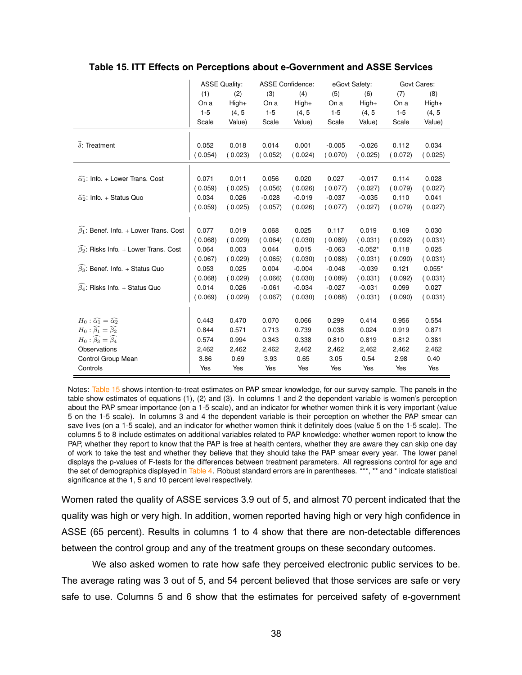|                                                       |         | <b>ASSE Quality:</b> |          | <b>ASSE Confidence:</b> |          | eGovt Safety: |         | Govt Cares: |
|-------------------------------------------------------|---------|----------------------|----------|-------------------------|----------|---------------|---------|-------------|
|                                                       | (1)     | (2)                  | (3)      | (4)                     | (5)      | (6)           | (7)     | (8)         |
|                                                       | On a    | $High+$              | On a     | $High+$                 | On a     | High+         | On a    | $High+$     |
|                                                       | $1 - 5$ | (4, 5)               | $1 - 5$  | (4, 5)                  | $1 - 5$  | (4, 5)        | $1 - 5$ | (4, 5)      |
|                                                       | Scale   | Value)               | Scale    | Value)                  | Scale    | Value)        | Scale   | Value)      |
|                                                       |         |                      |          |                         |          |               |         |             |
| $\widehat{\delta}$ : Treatment                        | 0.052   | 0.018                | 0.014    | 0.001                   | $-0.005$ | $-0.026$      | 0.112   | 0.034       |
|                                                       | 0.054)  | (0.023)              | (0.052)  | (0.024)                 | (0.070)  | (0.025)       | (0.072) | (0.025)     |
|                                                       |         |                      |          |                         |          |               |         |             |
| $\widehat{\alpha_1}$ : Info. + Lower Trans. Cost      | 0.071   | 0.011                | 0.056    | 0.020                   | 0.027    | $-0.017$      | 0.114   | 0.028       |
|                                                       | (0.059) | (0.025)              | (0.056)  | (0.026)                 | (0.077)  | (0.027)       | (0.079) | (0.027)     |
| $\widehat{\alpha_2}$ : Info. + Status Quo             | 0.034   | 0.026                | $-0.028$ | $-0.019$                | $-0.037$ | $-0.035$      | 0.110   | 0.041       |
|                                                       | 0.059   | (0.025)              | (0.057)  | (0.026)                 | (0.077)  | (0.027)       | (0.079) | (0.027)     |
|                                                       |         |                      |          |                         |          |               |         |             |
| $\beta_1$ : Benef. Info. + Lower Trans. Cost          | 0.077   | 0.019                | 0.068    | 0.025                   | 0.117    | 0.019         | 0.109   | 0.030       |
|                                                       | (0.068) | (0.029)              | (0.064)  | (0.030)                 | (0.089)  | (0.031)       | (0.092) | (0.031)     |
| $\widehat{\beta_2}$ : Risks Info. + Lower Trans. Cost | 0.064   | 0.003                | 0.044    | 0.015                   | $-0.063$ | $-0.052*$     | 0.118   | 0.025       |
|                                                       | (0.067) | (0.029)              | (0.065)  | (0.030)                 | (0.088)  | (0.031)       | (0.090) | (0.031)     |
| $\beta_3$ : Benef. Info. + Status Quo                 | 0.053   | 0.025                | 0.004    | $-0.004$                | $-0.048$ | $-0.039$      | 0.121   | $0.055*$    |
|                                                       | (0.068) | (0.029)              | (0.066)  | (0.030)                 | (0.089)  | (0.031)       | (0.092) | (0.031)     |
| $\widehat{\beta_4}$ : Risks Info. + Status Quo        | 0.014   | 0.026                | $-0.061$ | $-0.034$                | $-0.027$ | $-0.031$      | 0.099   | 0.027       |
|                                                       | (0.069) | (0.029)              | (0.067)  | (0.030)                 | (0.088)  | (0.031)       | (0.090) | (0.031)     |
|                                                       |         |                      |          |                         |          |               |         |             |
| $H_0: \widehat{\alpha_1} = \widehat{\alpha_2}$        | 0.443   | 0.470                | 0.070    | 0.066                   | 0.299    | 0.414         | 0.956   | 0.554       |
| $H_0: \widehat{\beta_1} = \widehat{\beta_2}$          | 0.844   | 0.571                | 0.713    | 0.739                   | 0.038    | 0.024         | 0.919   | 0.871       |
| $H_0$ : $\widehat{\beta_3} = \widehat{\beta_4}$       | 0.574   | 0.994                | 0.343    | 0.338                   | 0.810    | 0.819         | 0.812   | 0.381       |
| Observations                                          | 2,462   | 2,462                | 2,462    | 2,462                   | 2,462    | 2,462         | 2,462   | 2,462       |
| Control Group Mean                                    | 3.86    | 0.69                 | 3.93     | 0.65                    | 3.05     | 0.54          | 2.98    | 0.40        |
| Controls                                              | Yes     | Yes                  | Yes      | Yes                     | Yes      | Yes           | Yes     | Yes         |

#### **Table 15. ITT Effects on Perceptions about e-Government and ASSE Services Table 15:** ITT Effects on Perceptions about e-Government and ASSE Services

Notes: Table 15 shows intention-to-treat estimates on PAP smear knowledge, for our survey sample. The panels in the table show estimates of equations (1), (2) and (3). In columns 1 and 2 the dependent variable is women's perception about the PAP smear importance (on a 1-5 scale), and an indicator for whether women think it is very important (value 5 on the 1-5 scale). In columns 3 and 4 the dependent variable is their perception on whether the PAP smear can save lives (on a 1-5 scale), and an indicator for whether women think it definitely does (value 5 on the 1-5 scale). The columns 5 to 8 include estimates on additional variables related to PAP knowledge: whether women report to know the PAP, whether they report to know that the PAP is free at health centers, whether they are aware they can skip one day of work to take the test and whether they believe that they should take the PAP smear every year. The lower panel displays the p-values of F-tests for the differences between treatment parameters. All regressions control for age and the set of demographics displayed in Table 4. Robust standard errors are in parentheses. \*\*\*, \*\* and \* indicate statistical significance at the 1, 5 and 10 percent level respectively.

Women rated the quality of ASSE services 3.9 out of 5, and almost 70 percent indicated that the quality was high or very high. In addition, women reported having high or very high confidence in ASSE (65 percent). Results in columns 1 to 4 show that there are non-detectable differences between the control group and any of the treatment groups on these secondary outcomes.

We also asked women to rate how safe they perceived electronic public services to be. The average rating was 3 out of 5, and 54 percent believed that those services are safe or very safe to use. Columns 5 and 6 show that the estimates for perceived safety of e-government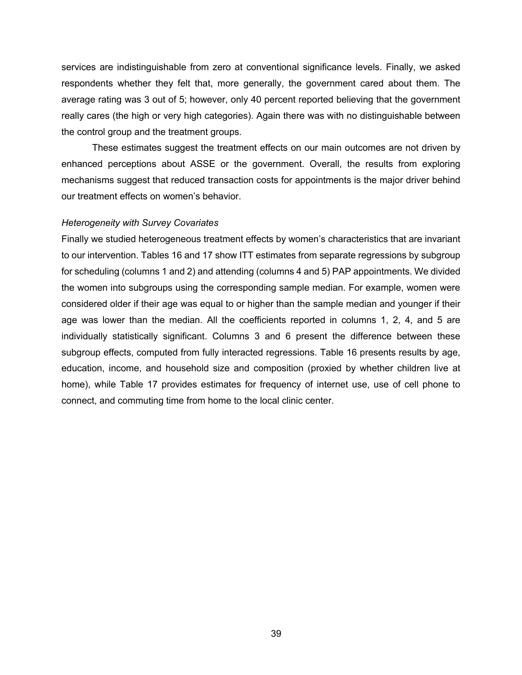services are indistinguishable from zero at conventional significance levels. Finally, we asked respondents whether they felt that, more generally, the government cared about them. The average rating was 3 out of 5; however, only 40 percent reported believing that the government really cares (the high or very high categories). Again there was with no distinguishable between the control group and the treatment groups.

These estimates suggest the treatment effects on our main outcomes are not driven by enhanced perceptions about ASSE or the government. Overall, the results from exploring mechanisms suggest that reduced transaction costs for appointments is the major driver behind our treatment effects on women's behavior.

#### *Heterogeneity with Survey Covariates*

Finally we studied heterogeneous treatment effects by women's characteristics that are invariant to our intervention. Tables 16 and 17 show ITT estimates from separate regressions by subgroup for scheduling (columns 1 and 2) and attending (columns 4 and 5) PAP appointments. We divided the women into subgroups using the corresponding sample median. For example, women were considered older if their age was equal to or higher than the sample median and younger if their age was lower than the median. All the coefficients reported in columns 1, 2, 4, and 5 are individually statistically significant. Columns 3 and 6 present the difference between these subgroup effects, computed from fully interacted regressions. Table 16 presents results by age, education, income, and household size and composition (proxied by whether children live at home), while Table 17 provides estimates for frequency of internet use, use of cell phone to connect, and commuting time from home to the local clinic center.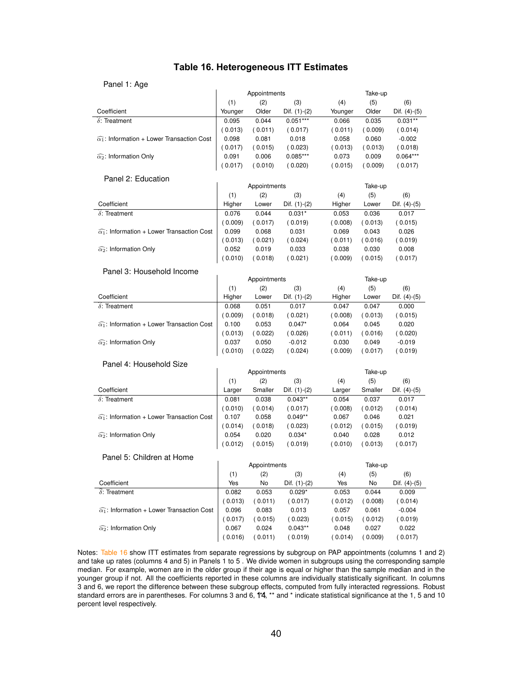# **Table 16. Heterogeneous ITT Estimates**

#### Panel 1: Age

| 1011111111                                                  |         |              |                |         |         |                |
|-------------------------------------------------------------|---------|--------------|----------------|---------|---------|----------------|
|                                                             |         | Appointments |                |         | Take-up |                |
|                                                             | (1)     | (2)          | (3)            | (4)     | (5)     | (6)            |
| Coefficient                                                 | Younger | Older        | Dif. (1)-(2)   | Younger | Older   | Dif. $(4)-(5)$ |
| $\delta$ : Treatment                                        | 0.095   | 0.044        | $0.051***$     | 0.066   | 0.035   | $0.031**$      |
|                                                             | (0.013) | (0.011)      | (0.017)        | (0.011) | (0.009) | (0.014)        |
| $\widehat{\alpha_1}$ : Information + Lower Transaction Cost | 0.098   | 0.081        | 0.018          | 0.058   | 0.060   | $-0.002$       |
|                                                             | (0.017) | (0.015)      | (0.023)        | (0.013) | (0.013) | (0.018)        |
| $\widehat{\alpha_2}$ : Information Only                     | 0.091   | 0.006        | $0.085***$     | 0.073   | 0.009   | $0.064***$     |
|                                                             | (0.017) | (0.010)      | (0.020)        | (0.015) | (0.009) | (0.017)        |
| Panel 2: Education                                          |         |              |                |         |         |                |
|                                                             |         | Appointments |                |         | Take-up |                |
|                                                             | (1)     | (2)          | (3)            | (4)     | (5)     | (6)            |
| Coefficient                                                 | Higher  | Lower        | Dif. $(1)-(2)$ | Higher  | Lower   | Dif. (4)-(5)   |
| $\delta$ : Treatment                                        | 0.076   | 0.044        | $0.031*$       | 0.053   | 0.036   | 0.017          |
|                                                             | (0.009) | (0.017)      | (0.019)        | (0.008) | (0.013) | (0.015)        |
| $\widehat{\alpha_1}$ : Information + Lower Transaction Cost | 0.099   | 0.068        | 0.031          | 0.069   | 0.043   | 0.026          |
|                                                             | (0.013) | (0.021)      | (0.024)        | (0.011) | (0.016) | (0.019)        |
| $\widehat{\alpha_2}$ : Information Only                     | 0.052   | 0.019        | 0.033          | 0.038   | 0.030   | 0.008          |
|                                                             | (0.010) | (0.018)      | (0.021)        | (0.009) | (0.015) | (0.017)        |
|                                                             |         |              |                |         |         |                |
| Panel 3: Household Income                                   |         |              |                |         |         |                |
|                                                             |         | Appointments |                |         | Take-up |                |
|                                                             | (1)     | (2)          | (3)            | (4)     | (5)     | (6)            |
| Coefficient                                                 | Higher  | Lower        | Dif. $(1)-(2)$ | Higher  | Lower   | Dif. $(4)-(5)$ |
| $\delta$ : Treatment                                        | 0.068   | 0.051        | 0.017          | 0.047   | 0.047   | 0.000          |
|                                                             | (0.009) | (0.018)      | (0.021)        | (0.008) | (0.013) | (0.015)        |
| $\widehat{\alpha_1}$ : Information + Lower Transaction Cost | 0.100   | 0.053        | $0.047*$       | 0.064   | 0.045   | 0.020          |
|                                                             | (0.013) | (0.022)      | (0.026)        | (0.011) | (0.016) | (0.020)        |
| $\widehat{\alpha_2}$ : Information Only                     | 0.037   | 0.050        | $-0.012$       | 0.030   | 0.049   | $-0.019$       |
|                                                             | 0.010)  | (0.022)      | (0.024)        | (0.009) | (0.017) | (0.019)        |
| Panel 4: Household Size                                     |         |              |                |         |         |                |
|                                                             |         | Appointments |                |         | Take-up |                |
|                                                             | (1)     | (2)          | (3)            | (4)     | (5)     | (6)            |
| Coefficient                                                 | Larger  | Smaller      | Dif. $(1)-(2)$ | Larger  | Smaller | Dif. $(4)-(5)$ |
| $\delta$ : Treatment                                        | 0.081   | 0.038        | $0.043**$      | 0.054   | 0.037   | 0.017          |
|                                                             | (0.010) | (0.014)      | (0.017)        | (0.008) | (0.012) | (0.014)        |
| $\widehat{\alpha_1}$ : Information + Lower Transaction Cost | 0.107   | 0.058        | $0.049**$      | 0.067   | 0.046   | 0.021          |
|                                                             | (0.014) | (0.018)      | (0.023)        | (0.012) | (0.015) | (0.019)        |
| $\widehat{\alpha_2}$ : Information Only                     | 0.054   | 0.020        | $0.034*$       | 0.040   | 0.028   | 0.012          |
|                                                             | (0.012) | (0.015)      | (0.019)        | (0.010) | (0.013) | (0.017)        |
| Panel 5: Children at Home                                   |         |              |                |         |         |                |
|                                                             |         | Appointments |                |         | Take-up |                |
|                                                             | (1)     | (2)          | (3)            | (4)     | (5)     | (6)            |
| Coefficient                                                 | Yes     | No           | Dif. (1)-(2)   | Yes     | No      | Dif. (4)-(5)   |
| $\widehat{\delta}$ : Treatment                              | 0.082   | 0.053        | $0.029*$       | 0.053   | 0.044   | 0.009          |
|                                                             | (0.013) | (0.011)      | (0.017)        | (0.012) | (0.008) | (0.014)        |
| $\widehat{\alpha_1}$ : Information + Lower Transaction Cost | 0.096   | 0.083        | 0.013          | 0.057   | 0.061   | $-0.004$       |
|                                                             | (0.017) | (0.015)      | (0.023)        | (0.015) | (0.012) | (0.019)        |
| $\widehat{\alpha_2}$ : Information Only                     | 0.067   | 0.024        | $0.043**$      | 0.048   | 0.027   | 0.022          |
|                                                             | (0.016) | ( 0.011)     | (0.019)        | (0.014) | (0.009) | (0.017)        |
|                                                             |         |              |                |         |         |                |

Notes: Table 16 show ITT estimates from separate regressions by subgroup on PAP appointments (columns 1 and 2) and take up rates (columns 4 and 5) in Panels 1 to 5 . We divide women in subgroups using the corresponding sample median. For example, women are in the older group if their age is equal or higher than the sample median and in the younger group if not. All the coefficients reported in these columns are individually statistically significant. In columns 3 and 6, we report the difference between these subgroup effects, computed from fully interacted regressions. Robust standard errors are in parentheses. For columns 3 and 6, 1<sup>\*4</sup>, \*\* and \* indicate statistical significance at the 1, 5 and 10 percent level respectively.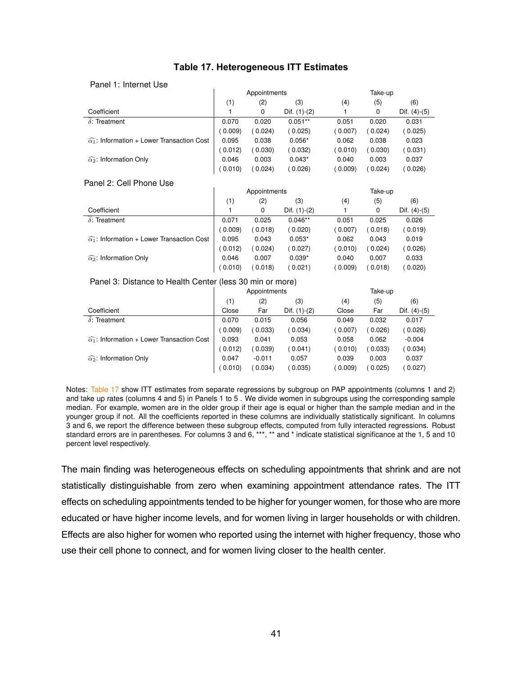| Panel 1: Internet Use                                       |              |        |                |         |        |                |  |
|-------------------------------------------------------------|--------------|--------|----------------|---------|--------|----------------|--|
|                                                             | Appointments |        |                | Take-up |        |                |  |
|                                                             | (1)          | (2)    | (3)            | (4)     | (5)    | (6)            |  |
| Coefficient                                                 |              | 0      | Dif. $(1)-(2)$ |         | 0      | Dif. $(4)-(5)$ |  |
| $\delta$ : Treatment                                        | 0.070        | 0.020  | $0.051**$      | 0.051   | 0.020  | 0.031          |  |
|                                                             | (0.009)      | 0.024) | (0.025)        | 0.007   | 0.024) | (0.025)        |  |
| $\widehat{\alpha_1}$ : Information + Lower Transaction Cost | 0.095        | 0.038  | $0.056*$       | 0.062   | 0.038  | 0.023          |  |
|                                                             | (0.012)      | 0.030  | 0.032          | 0.010   | 0.030) | (0.031)        |  |
| $\widehat{\alpha_2}$ : Information Only                     | 0.046        | 0.003  | $0.043*$       | 0.040   | 0.003  | 0.037          |  |
|                                                             | (0.010)      | 0.024) | 0.026          | 0.009   | 0.024  | 0.026          |  |

# **Table 17. Heterogeneous ITT Estimates Table 17:** Heterogeneous ITT Estimates

#### Panel 2: Cell Phone Use

|                                                             | Appointments |         |                | Take-up |         |                |  |
|-------------------------------------------------------------|--------------|---------|----------------|---------|---------|----------------|--|
|                                                             | (1)          | (2)     | (3)            | (4)     | (5)     | (6)            |  |
| Coefficient                                                 |              | 0       | Dif. $(1)-(2)$ |         | 0       | Dif. $(4)-(5)$ |  |
| $\widehat{\delta}$ : Treatment                              | 0.071        | 0.025   | $0.046**$      | 0.051   | 0.025   | 0.026          |  |
|                                                             | (0.009)      | 0.018   | (0.020)        | (0.007) | (0.018) | ( 0.019)       |  |
| $\widehat{\alpha_1}$ : Information + Lower Transaction Cost | 0.095        | 0.043   | $0.053*$       | 0.062   | 0.043   | 0.019          |  |
|                                                             | (0.012)      | 0.024)  | (0.027)        | (0.010) | (0.024) | (0.026)        |  |
| $\widehat{\alpha_2}$ : Information Only                     | 0.046        | 0.007   | $0.039*$       | 0.040   | 0.007   | 0.033          |  |
|                                                             | (0.010)      | (0.018) | 0.021          | (0.009) | (0.018) | (0.020)        |  |

#### Panel 3: Distance to Health Center (less 30 min or more)

|                                                             | Appointments |          |                | Take-up |         |                |  |
|-------------------------------------------------------------|--------------|----------|----------------|---------|---------|----------------|--|
|                                                             | (1)          | (2)      | (3)            | (4)     | (5)     | (6)            |  |
| Coefficient                                                 | Close        | Far      | Dif. $(1)-(2)$ | Close   | Far     | Dif. $(4)-(5)$ |  |
| $\delta$ : Treatment                                        | 0.070        | 0.015    | 0.056          | 0.049   | 0.032   | 0.017          |  |
|                                                             | 0.009        | 0.033    | ( 0.034)       | (0.007) | (0.026) | (0.026)        |  |
| $\widehat{\alpha_1}$ : Information + Lower Transaction Cost | 0.093        | 0.041    | 0.053          | 0.058   | 0.062   | $-0.004$       |  |
|                                                             | 0.012        | 0.039    | ( 0.041)       | (0.010) | (0.033) | (0.034)        |  |
| $\widehat{\alpha_2}$ : Information Only                     | 0.047        | $-0.011$ | 0.057          | 0.039   | 0.003   | 0.037          |  |
|                                                             | (0.010)      | 0.034    | (0.035)        | (0.009) | (0.025) | 0.027          |  |

Notes: Table 17 show ITT estimates from separate regressions by subgroup on PAP appointments (columns 1 and 2) and take up rates (columns 4 and 5) in Panels 1 to 5 . We divide women in subgroups using the corresponding sample median. For example, women are in the older group if their age is equal or higher than the sample median and in the younger group if not. All the coefficients reported in these columns are individually statistically significant. In columns 3 and 6, we report the difference between these subgroup effects, computed from fully interacted regressions. Robust standard errors are in parentheses. For columns 3 and 6, \*\*\*, \*\* and \* indicate statistical significance at the 1, 5 and 10 percent level respectively.

The main finding was heterogeneous effects on scheduling appointments that shrink and are not statistically distinguishable from zero when examining appointment attendance rates. The ITT effects on scheduling appointments tended to be higher for younger women, for those who are more educated or have higher income levels, and for women living in larger households or with children. Effects are also higher for women who reported using the internet with higher frequency, those who use their cell phone to connect, and for women living closer to the health center.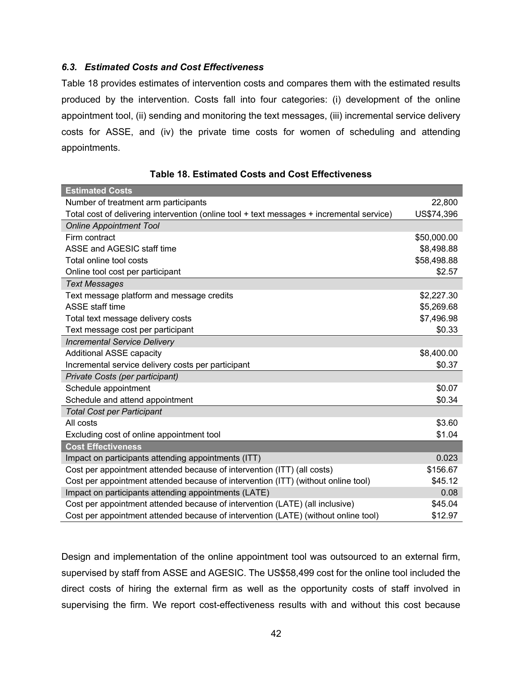# *6.3. Estimated Costs and Cost Effectiveness*

Table 18 provides estimates of intervention costs and compares them with the estimated results produced by the intervention. Costs fall into four categories: (i) development of the online appointment tool, (ii) sending and monitoring the text messages, (iii) incremental service delivery costs for ASSE, and (iv) the private time costs for women of scheduling and attending appointments.

| <b>Estimated Costs</b>                                                                    |             |
|-------------------------------------------------------------------------------------------|-------------|
| Number of treatment arm participants                                                      | 22,800      |
| Total cost of delivering intervention (online tool + text messages + incremental service) | US\$74,396  |
| <b>Online Appointment Tool</b>                                                            |             |
| Firm contract                                                                             | \$50,000.00 |
| ASSE and AGESIC staff time                                                                | \$8,498.88  |
| Total online tool costs                                                                   | \$58,498.88 |
| Online tool cost per participant                                                          | \$2.57      |
| <b>Text Messages</b>                                                                      |             |
| Text message platform and message credits                                                 | \$2,227.30  |
| <b>ASSE staff time</b>                                                                    | \$5,269.68  |
| Total text message delivery costs                                                         | \$7,496.98  |
| Text message cost per participant                                                         | \$0.33      |
| <b>Incremental Service Delivery</b>                                                       |             |
| <b>Additional ASSE capacity</b>                                                           | \$8,400.00  |
| Incremental service delivery costs per participant                                        | \$0.37      |
| Private Costs (per participant)                                                           |             |
| Schedule appointment                                                                      | \$0.07      |
| Schedule and attend appointment                                                           | \$0.34      |
| <b>Total Cost per Participant</b>                                                         |             |
| All costs                                                                                 | \$3.60      |
| Excluding cost of online appointment tool                                                 | \$1.04      |
| <b>Cost Effectiveness</b>                                                                 |             |
| Impact on participants attending appointments (ITT)                                       | 0.023       |
| Cost per appointment attended because of intervention (ITT) (all costs)                   | \$156.67    |
| Cost per appointment attended because of intervention (ITT) (without online tool)         | \$45.12     |
| Impact on participants attending appointments (LATE)                                      | 0.08        |
| Cost per appointment attended because of intervention (LATE) (all inclusive)              | \$45.04     |
| Cost per appointment attended because of intervention (LATE) (without online tool)        | \$12.97     |

|  |  |  |  | Table 18. Estimated Costs and Cost Effectiveness |
|--|--|--|--|--------------------------------------------------|
|--|--|--|--|--------------------------------------------------|

Design and implementation of the online appointment tool was outsourced to an external firm, supervised by staff from ASSE and AGESIC. The US\$58,499 cost for the online tool included the direct costs of hiring the external firm as well as the opportunity costs of staff involved in supervising the firm. We report cost-effectiveness results with and without this cost because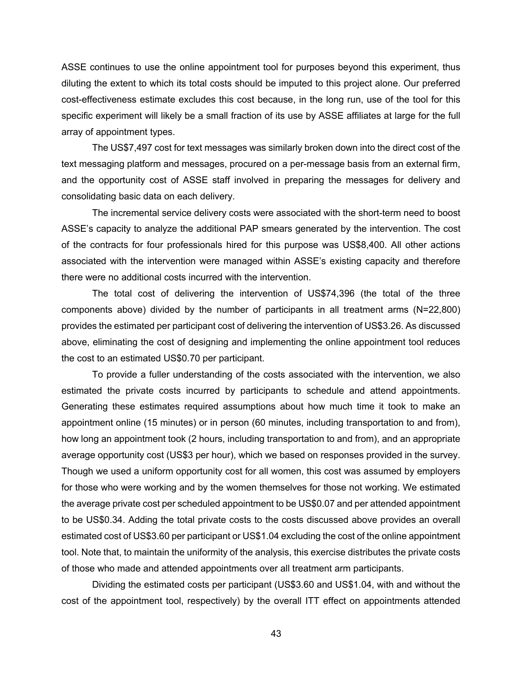ASSE continues to use the online appointment tool for purposes beyond this experiment, thus diluting the extent to which its total costs should be imputed to this project alone. Our preferred cost-effectiveness estimate excludes this cost because, in the long run, use of the tool for this specific experiment will likely be a small fraction of its use by ASSE affiliates at large for the full array of appointment types.

The US\$7,497 cost for text messages was similarly broken down into the direct cost of the text messaging platform and messages, procured on a per-message basis from an external firm, and the opportunity cost of ASSE staff involved in preparing the messages for delivery and consolidating basic data on each delivery.

The incremental service delivery costs were associated with the short-term need to boost ASSE's capacity to analyze the additional PAP smears generated by the intervention. The cost of the contracts for four professionals hired for this purpose was US\$8,400. All other actions associated with the intervention were managed within ASSE's existing capacity and therefore there were no additional costs incurred with the intervention.

The total cost of delivering the intervention of US\$74,396 (the total of the three components above) divided by the number of participants in all treatment arms (N=22,800) provides the estimated per participant cost of delivering the intervention of US\$3.26. As discussed above, eliminating the cost of designing and implementing the online appointment tool reduces the cost to an estimated US\$0.70 per participant.

To provide a fuller understanding of the costs associated with the intervention, we also estimated the private costs incurred by participants to schedule and attend appointments. Generating these estimates required assumptions about how much time it took to make an appointment online (15 minutes) or in person (60 minutes, including transportation to and from), how long an appointment took (2 hours, including transportation to and from), and an appropriate average opportunity cost (US\$3 per hour), which we based on responses provided in the survey. Though we used a uniform opportunity cost for all women, this cost was assumed by employers for those who were working and by the women themselves for those not working. We estimated the average private cost per scheduled appointment to be US\$0.07 and per attended appointment to be US\$0.34. Adding the total private costs to the costs discussed above provides an overall estimated cost of US\$3.60 per participant or US\$1.04 excluding the cost of the online appointment tool. Note that, to maintain the uniformity of the analysis, this exercise distributes the private costs of those who made and attended appointments over all treatment arm participants.

Dividing the estimated costs per participant (US\$3.60 and US\$1.04, with and without the cost of the appointment tool, respectively) by the overall ITT effect on appointments attended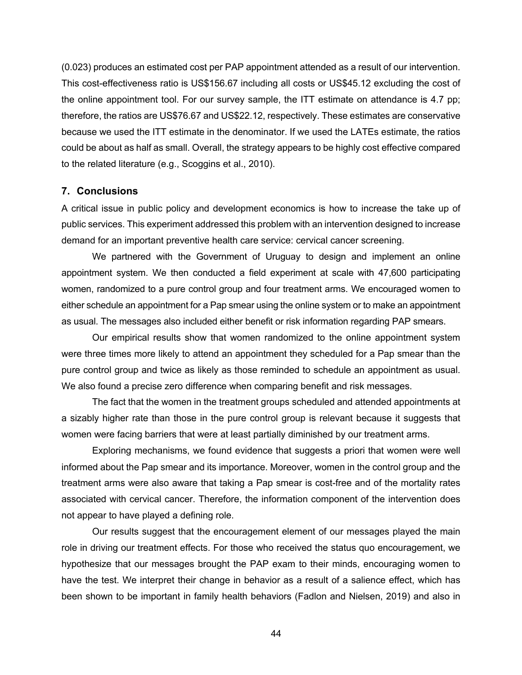(0.023) produces an estimated cost per PAP appointment attended as a result of our intervention. This cost-effectiveness ratio is US\$156.67 including all costs or US\$45.12 excluding the cost of the online appointment tool. For our survey sample, the ITT estimate on attendance is 4.7 pp; therefore, the ratios are US\$76.67 and US\$22.12, respectively. These estimates are conservative because we used the ITT estimate in the denominator. If we used the LATEs estimate, the ratios could be about as half as small. Overall, the strategy appears to be highly cost effective compared to the related literature (e.g., Scoggins et al., 2010).

#### **7. Conclusions**

A critical issue in public policy and development economics is how to increase the take up of public services. This experiment addressed this problem with an intervention designed to increase demand for an important preventive health care service: cervical cancer screening.

We partnered with the Government of Uruguay to design and implement an online appointment system. We then conducted a field experiment at scale with 47,600 participating women, randomized to a pure control group and four treatment arms. We encouraged women to either schedule an appointment for a Pap smear using the online system or to make an appointment as usual. The messages also included either benefit or risk information regarding PAP smears.

Our empirical results show that women randomized to the online appointment system were three times more likely to attend an appointment they scheduled for a Pap smear than the pure control group and twice as likely as those reminded to schedule an appointment as usual. We also found a precise zero difference when comparing benefit and risk messages.

The fact that the women in the treatment groups scheduled and attended appointments at a sizably higher rate than those in the pure control group is relevant because it suggests that women were facing barriers that were at least partially diminished by our treatment arms.

Exploring mechanisms, we found evidence that suggests a priori that women were well informed about the Pap smear and its importance. Moreover, women in the control group and the treatment arms were also aware that taking a Pap smear is cost-free and of the mortality rates associated with cervical cancer. Therefore, the information component of the intervention does not appear to have played a defining role.

Our results suggest that the encouragement element of our messages played the main role in driving our treatment effects. For those who received the status quo encouragement, we hypothesize that our messages brought the PAP exam to their minds, encouraging women to have the test. We interpret their change in behavior as a result of a salience effect, which has been shown to be important in family health behaviors (Fadlon and Nielsen, 2019) and also in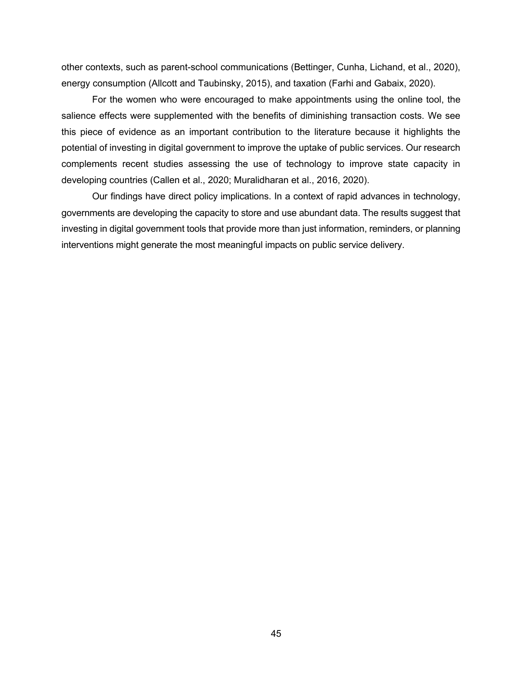other contexts, such as parent-school communications (Bettinger, Cunha, Lichand, et al., 2020), energy consumption (Allcott and Taubinsky, 2015), and taxation (Farhi and Gabaix, 2020).

For the women who were encouraged to make appointments using the online tool, the salience effects were supplemented with the benefits of diminishing transaction costs. We see this piece of evidence as an important contribution to the literature because it highlights the potential of investing in digital government to improve the uptake of public services. Our research complements recent studies assessing the use of technology to improve state capacity in developing countries (Callen et al., 2020; Muralidharan et al., 2016, 2020).

Our findings have direct policy implications. In a context of rapid advances in technology, governments are developing the capacity to store and use abundant data. The results suggest that investing in digital government tools that provide more than just information, reminders, or planning interventions might generate the most meaningful impacts on public service delivery.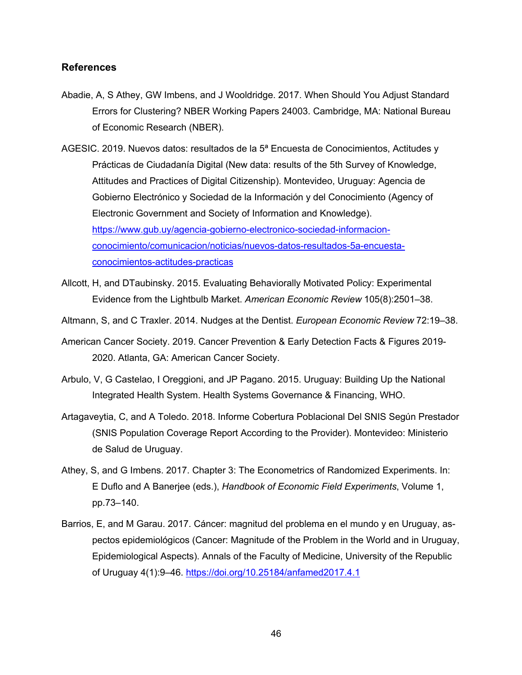# **References**

- Abadie, A, S Athey, GW Imbens, and J Wooldridge. 2017. When Should You Adjust Standard Errors for Clustering? NBER Working Papers 24003. Cambridge, MA: National Bureau of Economic Research (NBER).
- AGESIC. 2019. Nuevos datos: resultados de la 5ª Encuesta de Conocimientos, Actitudes y Prácticas de Ciudadanía Digital (New data: results of the 5th Survey of Knowledge, Attitudes and Practices of Digital Citizenship). Montevideo, Uruguay: Agencia de Gobierno Electrónico y Sociedad de la Información y del Conocimiento (Agency of Electronic Government and Society of Information and Knowledge). https://www.gub.uy/agencia-gobierno-electronico-sociedad-informacionconocimiento/comunicacion/noticias/nuevos-datos-resultados-5a-encuestaconocimientos-actitudes-practicas
- Allcott, H, and DTaubinsky. 2015. Evaluating Behaviorally Motivated Policy: Experimental Evidence from the Lightbulb Market. *American Economic Review* 105(8):2501–38.
- Altmann, S, and C Traxler. 2014. Nudges at the Dentist. *European Economic Review* 72:19–38.
- American Cancer Society. 2019. Cancer Prevention & Early Detection Facts & Figures 2019- 2020. Atlanta, GA: American Cancer Society.
- Arbulo, V, G Castelao, I Oreggioni, and JP Pagano. 2015. Uruguay: Building Up the National Integrated Health System. Health Systems Governance & Financing, WHO.
- Artagaveytia, C, and A Toledo. 2018. Informe Cobertura Poblacional Del SNIS Según Prestador (SNIS Population Coverage Report According to the Provider). Montevideo: Ministerio de Salud de Uruguay.
- Athey, S, and G Imbens. 2017. Chapter 3: The Econometrics of Randomized Experiments. In: E Duflo and A Banerjee (eds.), *Handbook of Economic Field Experiments*, Volume 1, pp.73–140.
- Barrios, E, and M Garau. 2017. Cáncer: magnitud del problema en el mundo y en Uruguay, aspectos epidemiológicos (Cancer: Magnitude of the Problem in the World and in Uruguay, Epidemiological Aspects). Annals of the Faculty of Medicine, University of the Republic of Uruguay 4(1):9–46. https://doi.org/10.25184/anfamed2017.4.1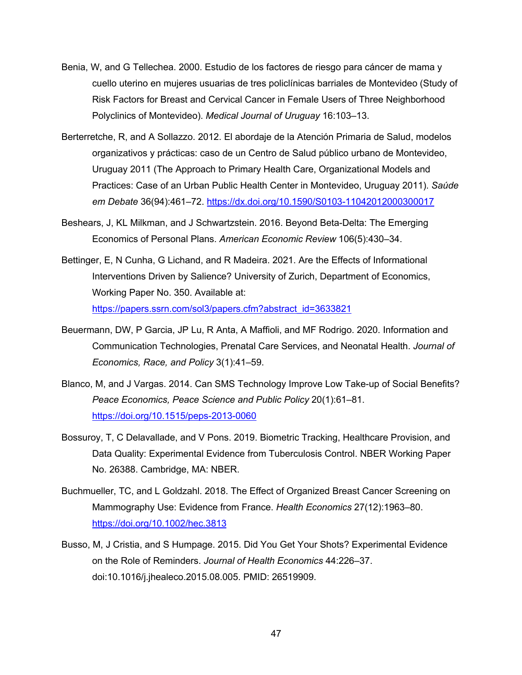- Benia, W, and G Tellechea. 2000. Estudio de los factores de riesgo para cáncer de mama y cuello uterino en mujeres usuarias de tres policlínicas barriales de Montevideo (Study of Risk Factors for Breast and Cervical Cancer in Female Users of Three Neighborhood Polyclinics of Montevideo). *Medical Journal of Uruguay* 16:103–13.
- Berterretche, R, and A Sollazzo. 2012. El abordaje de la Atención Primaria de Salud, modelos organizativos y prácticas: caso de un Centro de Salud público urbano de Montevideo, Uruguay 2011 (The Approach to Primary Health Care, Organizational Models and Practices: Case of an Urban Public Health Center in Montevideo, Uruguay 2011). *Saúde em Debate* 36(94):461–72. https://dx.doi.org/10.1590/S0103-11042012000300017
- Beshears, J, KL Milkman, and J Schwartzstein. 2016. Beyond Beta-Delta: The Emerging Economics of Personal Plans. *American Economic Review* 106(5):430–34.
- Bettinger, E, N Cunha, G Lichand, and R Madeira. 2021. Are the Effects of Informational Interventions Driven by Salience? University of Zurich, Department of Economics, Working Paper No. 350. Available at: https://papers.ssrn.com/sol3/papers.cfm?abstract\_id=3633821
- Beuermann, DW, P Garcia, JP Lu, R Anta, A Maffioli, and MF Rodrigo. 2020. Information and Communication Technologies, Prenatal Care Services, and Neonatal Health. *Journal of Economics, Race, and Policy* 3(1):41–59.
- Blanco, M, and J Vargas. 2014. Can SMS Technology Improve Low Take-up of Social Benefits? *Peace Economics, Peace Science and Public Policy* 20(1):61–81. https://doi.org/10.1515/peps-2013-0060
- Bossuroy, T, C Delavallade, and V Pons. 2019. Biometric Tracking, Healthcare Provision, and Data Quality: Experimental Evidence from Tuberculosis Control. NBER Working Paper No. 26388. Cambridge, MA: NBER.
- Buchmueller, TC, and L Goldzahl. 2018. The Effect of Organized Breast Cancer Screening on Mammography Use: Evidence from France. *Health Economics* 27(12):1963–80. https://doi.org/10.1002/hec.3813
- Busso, M, J Cristia, and S Humpage. 2015. Did You Get Your Shots? Experimental Evidence on the Role of Reminders. *Journal of Health Economics* 44:226–37. doi:10.1016/j.jhealeco.2015.08.005. PMID: 26519909.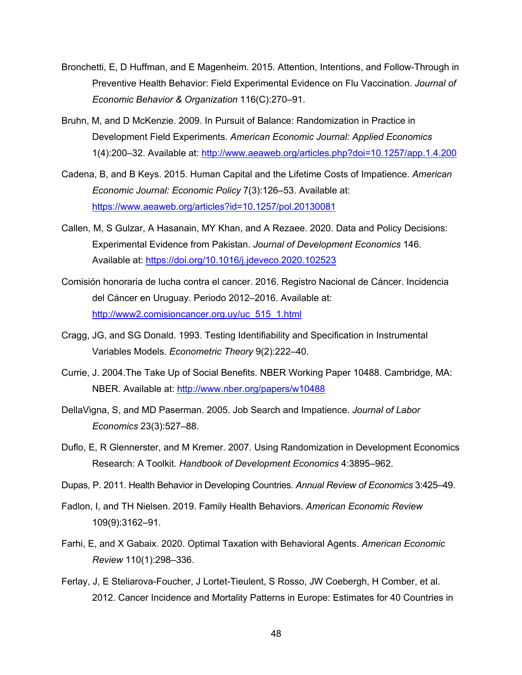- Bronchetti, E, D Huffman, and E Magenheim. 2015. Attention, Intentions, and Follow-Through in Preventive Health Behavior: Field Experimental Evidence on Flu Vaccination. *Journal of Economic Behavior & Organization* 116(C):270–91.
- Bruhn, M, and D McKenzie. 2009. In Pursuit of Balance: Randomization in Practice in Development Field Experiments. *American Economic Journal: Applied Economics* 1(4):200–32. Available at: http://www.aeaweb.org/articles.php?doi=10.1257/app.1.4.200
- Cadena, B, and B Keys. 2015. Human Capital and the Lifetime Costs of Impatience. *American Economic Journal: Economic Policy* 7(3):126–53. Available at: https://www.aeaweb.org/articles?id=10.1257/pol.20130081
- Callen, M, S Gulzar, A Hasanain, MY Khan, and A Rezaee. 2020. Data and Policy Decisions: Experimental Evidence from Pakistan. *Journal of Development Economics* 146. Available at: https://doi.org/10.1016/j.jdeveco.2020.102523
- Comisión honoraria de lucha contra el cancer. 2016. Registro Nacional de Cáncer. Incidencia del Cáncer en Uruguay. Periodo 2012–2016. Available at: http://www2.comisioncancer.org.uy/uc\_515\_1.html
- Cragg, JG, and SG Donald. 1993. Testing Identifiability and Specification in Instrumental Variables Models. *Econometric Theory* 9(2):222–40.
- Currie, J. 2004.The Take Up of Social Benefits. NBER Working Paper 10488. Cambridge, MA: NBER. Available at: http://www.nber.org/papers/w10488
- DellaVigna, S, and MD Paserman. 2005. Job Search and Impatience. *Journal of Labor Economics* 23(3):527–88.
- Duflo, E, R Glennerster, and M Kremer. 2007. Using Randomization in Development Economics Research: A Toolkit. *Handbook of Development Economics* 4:3895–962.
- Dupas, P. 2011. Health Behavior in Developing Countries. *Annual Review of Economics* 3:425–49.
- Fadlon, I, and TH Nielsen. 2019. Family Health Behaviors. *American Economic Review* 109(9):3162–91.
- Farhi, E, and X Gabaix. 2020. Optimal Taxation with Behavioral Agents. *American Economic Review* 110(1):298–336.
- Ferlay, J, E Steliarova-Foucher, J Lortet-Tieulent, S Rosso, JW Coebergh, H Comber, et al. 2012. Cancer Incidence and Mortality Patterns in Europe: Estimates for 40 Countries in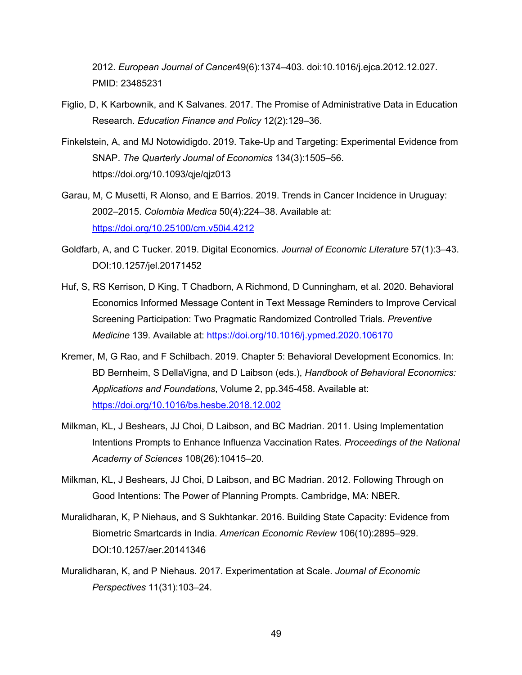2012. *European Journal of Cancer*49(6):1374–403. doi:10.1016/j.ejca.2012.12.027. PMID: 23485231

- Figlio, D, K Karbownik, and K Salvanes. 2017. The Promise of Administrative Data in Education Research. *Education Finance and Policy* 12(2):129–36.
- Finkelstein, A, and MJ Notowidigdo. 2019. Take-Up and Targeting: Experimental Evidence from SNAP. *The Quarterly Journal of Economics* 134(3):1505–56. https://doi.org/10.1093/qje/qjz013
- Garau, M, C Musetti, R Alonso, and E Barrios. 2019. Trends in Cancer Incidence in Uruguay: 2002–2015. *Colombia Medica* 50(4):224–38. Available at: https://doi.org/10.25100/cm.v50i4.4212
- Goldfarb, A, and C Tucker. 2019. Digital Economics. *Journal of Economic Literature* 57(1):3–43. DOI:10.1257/jel.20171452
- Huf, S, RS Kerrison, D King, T Chadborn, A Richmond, D Cunningham, et al. 2020. Behavioral Economics Informed Message Content in Text Message Reminders to Improve Cervical Screening Participation: Two Pragmatic Randomized Controlled Trials. *Preventive Medicine* 139. Available at: https://doi.org/10.1016/j.ypmed.2020.106170
- Kremer, M, G Rao, and F Schilbach. 2019. Chapter 5: Behavioral Development Economics. In: BD Bernheim, S DellaVigna, and D Laibson (eds.), *Handbook of Behavioral Economics: Applications and Foundations*, Volume 2, pp.345-458. Available at: https://doi.org/10.1016/bs.hesbe.2018.12.002
- Milkman, KL, J Beshears, JJ Choi, D Laibson, and BC Madrian. 2011. Using Implementation Intentions Prompts to Enhance Influenza Vaccination Rates. *Proceedings of the National Academy of Sciences* 108(26):10415–20.
- Milkman, KL, J Beshears, JJ Choi, D Laibson, and BC Madrian. 2012. Following Through on Good Intentions: The Power of Planning Prompts. Cambridge, MA: NBER.
- Muralidharan, K, P Niehaus, and S Sukhtankar. 2016. Building State Capacity: Evidence from Biometric Smartcards in India. *American Economic Review* 106(10):2895–929. DOI:10.1257/aer.20141346
- Muralidharan, K, and P Niehaus. 2017. Experimentation at Scale. *Journal of Economic Perspectives* 11(31):103–24.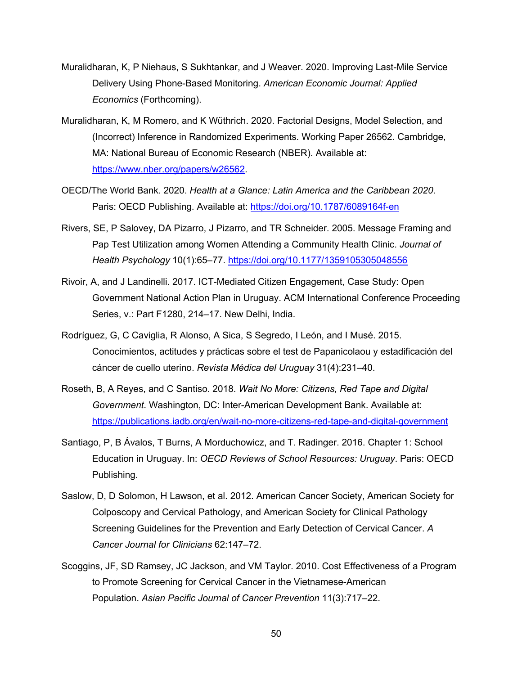- Muralidharan, K, P Niehaus, S Sukhtankar, and J Weaver. 2020. Improving Last-Mile Service Delivery Using Phone-Based Monitoring. *American Economic Journal: Applied Economics* (Forthcoming).
- Muralidharan, K, M Romero, and K Wüthrich. 2020. Factorial Designs, Model Selection, and (Incorrect) Inference in Randomized Experiments. Working Paper 26562. Cambridge, MA: National Bureau of Economic Research (NBER). Available at: https://www.nber.org/papers/w26562.
- OECD/The World Bank. 2020. *Health at a Glance: Latin America and the Caribbean 2020*. Paris: OECD Publishing. Available at: https://doi.org/10.1787/6089164f-en
- Rivers, SE, P Salovey, DA Pizarro, J Pizarro, and TR Schneider. 2005. Message Framing and Pap Test Utilization among Women Attending a Community Health Clinic. *Journal of Health Psychology* 10(1):65–77. https://doi.org/10.1177/1359105305048556
- Rivoir, A, and J Landinelli. 2017. ICT-Mediated Citizen Engagement, Case Study: Open Government National Action Plan in Uruguay. ACM International Conference Proceeding Series, v.: Part F1280, 214–17. New Delhi, India.
- Rodríguez, G, C Caviglia, R Alonso, A Sica, S Segredo, I León, and I Musé. 2015. Conocimientos, actitudes y prácticas sobre el test de Papanicolaou y estadificación del cáncer de cuello uterino. *Revista Médica del Uruguay* 31(4):231–40.
- Roseth, B, A Reyes, and C Santiso. 2018. *Wait No More: Citizens, Red Tape and Digital Government*. Washington, DC: Inter-American Development Bank. Available at: https://publications.iadb.org/en/wait-no-more-citizens-red-tape-and-digital-government
- Santiago, P, B Ávalos, T Burns, A Morduchowicz, and T. Radinger. 2016. Chapter 1: School Education in Uruguay. In: *OECD Reviews of School Resources: Uruguay*. Paris: OECD Publishing.
- Saslow, D, D Solomon, H Lawson, et al. 2012. American Cancer Society, American Society for Colposcopy and Cervical Pathology, and American Society for Clinical Pathology Screening Guidelines for the Prevention and Early Detection of Cervical Cancer. *A Cancer Journal for Clinicians* 62:147–72.
- Scoggins, JF, SD Ramsey, JC Jackson, and VM Taylor. 2010. Cost Effectiveness of a Program to Promote Screening for Cervical Cancer in the Vietnamese-American Population. *Asian Pacific Journal of Cancer Prevention* 11(3):717–22.